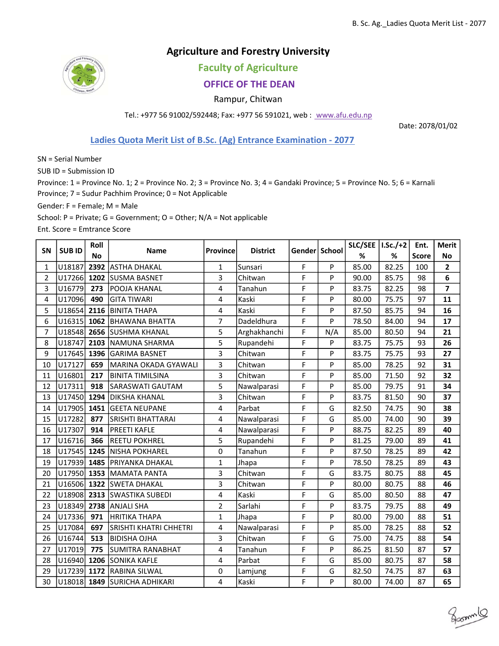## Agriculture and Forestry University

Faculty of Agriculture

## OFFICE OF THE DEAN

Rampur, Chitwan

Tel.: +977 56 91002/592448; Fax: +977 56 591021, web : www.afu.edu.np

Date: 2078/01/02

gammlo

## Ladies Quota Merit List of B.Sc. (Ag) Entrance Examination - 2077

SN = Serial Number

SUB ID = Submission ID

Province: 1 = Province No. 1; 2 = Province No. 2; 3 = Province No. 3; 4 = Gandaki Province; 5 = Province No. 5; 6 = Karnali Province; 7 = Sudur Pachhim Province; 0 = Not Applicable

Gender: F = Female; M = Male

School: P = Private; G = Government; O = Other; N/A = Not applicable

Ent. Score = Emtrance Score

| <b>SN</b>      | <b>SUBID</b> | Roll      | <b>Name</b>                   | Province       | <b>District</b> | Gender School |     | SLC/SEE   I.Sc./+2 |       | Ent.         | <b>Merit</b>            |
|----------------|--------------|-----------|-------------------------------|----------------|-----------------|---------------|-----|--------------------|-------|--------------|-------------------------|
|                |              | <b>No</b> |                               |                |                 |               |     | %                  | %     | <b>Score</b> | <b>No</b>               |
| 1              | U18187       | 2392      | <b>ASTHA DHAKAL</b>           | $\mathbf{1}$   | Sunsari         | F             | P   | 85.00              | 82.25 | 100          | $\overline{\mathbf{c}}$ |
| $\overline{2}$ | U17266       | 1202      | <b>SUSMA BASNET</b>           | 3              | Chitwan         | F             | P   | 90.00              | 85.75 | 98           | 6                       |
| $\overline{3}$ | U16779       | 273       | POOJA KHANAL                  | 4              | Tanahun         | F             | P   | 83.75              | 82.25 | 98           | $\overline{7}$          |
| 4              | U17096       | 490       | <b>GITA TIWARI</b>            | 4              | Kaski           | F             | P   | 80.00              | 75.75 | 97           | 11                      |
| 5              | U18654       | 2116      | <b>BINITA THAPA</b>           | 4              | Kaski           | F             | P   | 87.50              | 85.75 | 94           | 16                      |
| 6              | U16315       | 1062      | <b>BHAWANA BHATTA</b>         | $\overline{7}$ | Dadeldhura      | F             | P   | 78.50              | 84.00 | 94           | 17                      |
| 7              | U18548       | 2656      | <b>ISUSHMA KHANAL</b>         | 5              | Arghakhanchi    | F             | N/A | 85.00              | 80.50 | 94           | 21                      |
| 8              | U18747       | 2103      | NAMUNA SHARMA                 | 5              | Rupandehi       | F             | P   | 83.75              | 75.75 | 93           | 26                      |
| 9              | U17645       | 1396      | <b>GARIMA BASNET</b>          | 3              | Chitwan         | F             | P   | 83.75              | 75.75 | 93           | 27                      |
| 10             | U17127       | 659       | lMARINA OKADA GYAWALI         | 3              | Chitwan         | F             | P   | 85.00              | 78.25 | 92           | 31                      |
| 11             | U16801       | 217       | BINITA TIMILSINA              | 3              | Chitwan         | F             | P   | 85.00              | 71.50 | 92           | 32                      |
| 12             | U17311       | 918       | SARASWATI GAUTAM              | 5              | Nawalparasi     | F             | P   | 85.00              | 79.75 | 91           | 34                      |
| 13             | U17450       | 1294      | DIKSHA KHANAL                 | 3              | Chitwan         | F             | P   | 83.75              | 81.50 | 90           | 37                      |
| 14             | U17905       | 1451      | <b>GEETA NEUPANE</b>          | 4              | Parbat          | F             | G   | 82.50              | 74.75 | 90           | 38                      |
| 15             | U17282       | 877       | <b>SRISHTI BHATTARAI</b>      | 4              | Nawalparasi     | F             | G   | 85.00              | 74.00 | 90           | 39                      |
| 16             | U17307       | 914       | <b>PREETI KAFLE</b>           | $\overline{4}$ | Nawalparasi     | F             | P   | 88.75              | 82.25 | 89           | 40                      |
| 17             | U16716       | 366       | <b>REETU POKHREL</b>          | 5              | Rupandehi       | F             | P   | 81.25              | 79.00 | 89           | 41                      |
| 18             | U17545       | 1245      | NISHA POKHAREL                | $\mathbf 0$    | Tanahun         | F             | P   | 87.50              | 78.25 | 89           | 42                      |
| 19             | U17939       | 1485      | PRIYANKA DHAKAL               | $\mathbf{1}$   | Jhapa           | F             | P   | 78.50              | 78.25 | 89           | 43                      |
| 20             | U17950       | 1353      | MAMATA PANTA                  | 3              | Chitwan         | F             | G   | 83.75              | 80.75 | 88           | 45                      |
| 21             | U16506       | 1322      | <b>SWETA DHAKAL</b>           | 3              | Chitwan         | F             | P   | 80.00              | 80.75 | 88           | 46                      |
| 22             |              |           | U18908 2313 SWASTIKA SUBEDI   | $\overline{4}$ | Kaski           | F             | G   | 85.00              | 80.50 | 88           | 47                      |
| 23             | U18349       | 2738      | ANJALI SHA                    | $\overline{2}$ | Sarlahi         | F             | P   | 83.75              | 79.75 | 88           | 49                      |
| 24             | U17336       | 971       | <b>HRITIKA THAPA</b>          | $\mathbf{1}$   | Jhapa           | F             | P   | 80.00              | 79.00 | 88           | 51                      |
| 25             | U17084       | 697       | <b>SRISHTI KHATRI CHHETRI</b> | 4              | Nawalparasi     | F             | P   | 85.00              | 78.25 | 88           | 52                      |
| 26             | U16744       | 513       | <b>BIDISHA OJHA</b>           | 3              | Chitwan         | F             | G   | 75.00              | 74.75 | 88           | 54                      |
| 27             | U17019       | 775       | <b>SUMITRA RANABHAT</b>       | 4              | Tanahun         | F             | P   | 86.25              | 81.50 | 87           | 57                      |
| 28             | U16940       | 1206      | <b>SONIKA KAFLE</b>           | 4              | Parbat          | F             | G   | 85.00              | 80.75 | 87           | 58                      |
| 29             | U17239       | 1172      | <b>RABINA SILWAL</b>          | $\pmb{0}$      | Lamjung         | F             | G   | 82.50              | 74.75 | 87           | 63                      |
| 30             | U18018       | 1849      | <b>SURICHA ADHIKARI</b>       | 4              | Kaski           | F             | P   | 80.00              | 74.00 | 87           | 65                      |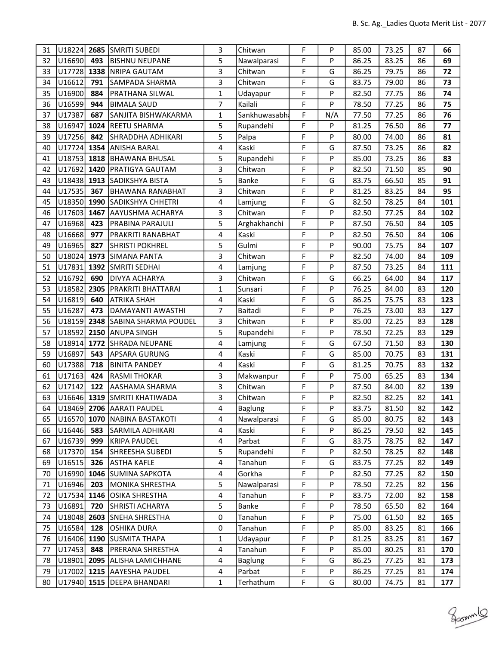| 31 | U18224 2685   |      | <b>SMRITI SUBEDI</b>         | 3                       | Chitwan        | F | P   | 85.00 | 73.25 | 87 | 66  |
|----|---------------|------|------------------------------|-------------------------|----------------|---|-----|-------|-------|----|-----|
| 32 | U16690        | 493  | <b>BISHNU NEUPANE</b>        | 5                       | Nawalparasi    | F | P   | 86.25 | 83.25 | 86 | 69  |
| 33 | U17728        |      | 1338   NRIPA GAUTAM          | 3                       | Chitwan        | F | G   | 86.25 | 79.75 | 86 | 72  |
| 34 | U16612        | 791  | SAMPADA SHARMA               | 3                       | Chitwan        | F | G   | 83.75 | 79.00 | 86 | 73  |
| 35 | U16900        | 884  | PRATHANA SILWAL              | $\mathbf{1}$            | Udayapur       | F | P   | 82.50 | 77.75 | 86 | 74  |
| 36 | U16599        | 944  | <b>BIMALA SAUD</b>           | 7                       | Kailali        | F | P   | 78.50 | 77.25 | 86 | 75  |
| 37 | U17387        | 687  | SANJITA BISHWAKARMA          | 1                       | Sankhuwasabh   | F | N/A | 77.50 | 77.25 | 86 | 76  |
| 38 | U16947        | 1024 | REETU SHARMA                 | 5                       | Rupandehi      | F | P   | 81.25 | 76.50 | 86 | 77  |
| 39 | U17256        | 842  | <b>SHRADDHA ADHIKARI</b>     | 5                       | Palpa          | F | P   | 80.00 | 74.00 | 86 | 81  |
| 40 | U17724 1354   |      | <b>ANISHA BARAL</b>          | 4                       | Kaski          | F | G   | 87.50 | 73.25 | 86 | 82  |
| 41 | U18753        |      | 1818 BHAWANA BHUSAL          | 5                       | Rupandehi      | F | P   | 85.00 | 73.25 | 86 | 83  |
| 42 | U17692 1420   |      | <b>PRATIGYA GAUTAM</b>       | 3                       | Chitwan        | F | P   | 82.50 | 71.50 | 85 | 90  |
| 43 |               |      | U18438 1913 SADIKSHYA BISTA  | 5                       | Banke          | F | G   | 83.75 | 66.50 | 85 | 91  |
| 44 | U17535        | 367  | BHAWANA RANABHAT             | 3                       | Chitwan        | F | P   | 81.25 | 83.25 | 84 | 95  |
| 45 | U18350        | 1990 | SADIKSHYA CHHETRI            | 4                       | Lamjung        | F | G   | 82.50 | 78.25 | 84 | 101 |
| 46 | U17603        | 1467 | AAYUSHMA ACHARYA             | 3                       | Chitwan        | F | P   | 82.50 | 77.25 | 84 | 102 |
| 47 | U16968        | 423  | <b>PRABINA PARAJULI</b>      | 5                       | Arghakhanchi   | F | P   | 87.50 | 76.50 | 84 | 105 |
| 48 | U16668        | 977  | PRAKRITI RANABHAT            | 4                       | Kaski          | F | P   | 82.50 | 76.50 | 84 | 106 |
| 49 | U16965        | 827  | <b>SHRISTI POKHREL</b>       | 5                       | Gulmi          | F | P   | 90.00 | 75.75 | 84 | 107 |
| 50 | U18024        | 1973 | <b>SIMANA PANTA</b>          | 3                       | Chitwan        | F | P   | 82.50 | 74.00 | 84 | 109 |
| 51 |               |      | U17831 1392 SMRITI SEDHAI    | 4                       | Lamjung        | F | P   | 87.50 | 73.25 | 84 | 111 |
| 52 | U16792        | 690  | <b>DIVYA ACHARYA</b>         | 3                       | Chitwan        | F | G   | 66.25 | 64.00 | 84 | 117 |
| 53 | U18582        | 2305 | <b>PRAKRITI BHATTARAI</b>    | $\mathbf{1}$            | Sunsari        | F | P   | 76.25 | 84.00 | 83 | 120 |
| 54 | U16819        | 640  | ATRIKA SHAH                  | 4                       | Kaski          | F | G   | 86.25 | 75.75 | 83 | 123 |
| 55 | U16287        | 473  | DAMAYANTI AWASTHI            | $\overline{7}$          | Baitadi        | F | P   | 76.25 | 73.00 | 83 | 127 |
| 56 | U18159        | 2348 | SABINA SHARMA POUDEL         | 3                       | Chitwan        | F | P   | 85.00 | 72.25 | 83 | 128 |
| 57 | U18592        |      | 2150 ANUPA SINGH             | 5                       | Rupandehi      | F | P   | 78.50 | 72.25 | 83 | 129 |
| 58 | U18914        | 1772 | <b>SHRADA NEUPANE</b>        | 4                       | Lamjung        | F | G   | 67.50 | 71.50 | 83 | 130 |
| 59 | U16897        | 543  | APSARA GURUNG                | $\overline{\mathbf{4}}$ | Kaski          | F | G   | 85.00 | 70.75 | 83 | 131 |
| 60 | U17388        | 718  | <b>BINITA PANDEY</b>         | 4                       | Kaski          | F | G   | 81.25 | 70.75 | 83 | 132 |
| 61 | U17163        | 424  | <b>RASMI THOKAR</b>          | 3                       | Makwanpur      | F | P   | 75.00 | 65.25 | 83 | 134 |
| 62 | U17142        | 122  | AASHAMA SHARMA               | 3                       | Chitwan        | F | P   | 87.50 | 84.00 | 82 | 139 |
| 63 | $U16646$ 1319 |      | SMRITI KHATIWADA             | 3                       | Chitwan        | F | P   | 82.50 | 82.25 | 82 | 141 |
| 64 |               |      | U18469 2706 AARATI PAUDEL    | 4                       | Baglung        | F | P   | 83.75 | 81.50 | 82 | 142 |
| 65 |               |      | U16570 1070 NABINA BASTAKOTI | 4                       | Nawalparasi    | F | G   | 85.00 | 80.75 | 82 | 143 |
| 66 | U16446        | 583  | <b>SARMILA ADHIKARI</b>      | 4                       | Kaski          | F | P   | 86.25 | 79.50 | 82 | 145 |
| 67 | U16739        | 999  | <b>KRIPA PAUDEL</b>          | 4                       | Parbat         | F | G   | 83.75 | 78.75 | 82 | 147 |
| 68 | U17370        | 154  | SHREESHA SUBEDI              | 5                       | Rupandehi      | F | P   | 82.50 | 78.25 | 82 | 148 |
| 69 | U16515        | 326  | <b>ASTHA KAFLE</b>           | $\overline{\mathbf{4}}$ | Tanahun        | F | G   | 83.75 | 77.25 | 82 | 149 |
| 70 | U16990        | 1046 | <b>SUMINA SAPKOTA</b>        | 4                       | Gorkha         | F | P   | 82.50 | 77.25 | 82 | 150 |
| 71 | U16946        | 203  | MONIKA SHRESTHA              | 5                       | Nawalparasi    | F | P   | 78.50 | 72.25 | 82 | 156 |
| 72 | U17534        |      | 1146 OSIKA SHRESTHA          | 4                       | Tanahun        | F | P   | 83.75 | 72.00 | 82 | 158 |
| 73 | U16891        | 720  | <b>SHRISTI ACHARYA</b>       | 5                       | Banke          | F | P   | 78.50 | 65.50 | 82 | 164 |
| 74 | U18048        | 2603 | <b>SNEHA SHRESTHA</b>        | 0                       | Tanahun        | F | P   | 75.00 | 61.50 | 82 | 165 |
| 75 | U16584        | 128  | <b>OSHIKA DURA</b>           | 0                       | Tanahun        | F | P   | 85.00 | 83.25 | 81 | 166 |
| 76 |               |      | U16406 1190 SUSMITA THAPA    | 1                       | Udayapur       | F | P   | 81.25 | 83.25 | 81 | 167 |
| 77 | U17453        | 848  | <b>PRERANA SHRESTHA</b>      | 4                       | Tanahun        | F | P   | 85.00 | 80.25 | 81 | 170 |
| 78 | U18901        |      | 2095 ALISHA LAMICHHANE       | $\overline{\mathbf{4}}$ | <b>Baglung</b> | F | G   | 86.25 | 77.25 | 81 | 173 |
| 79 |               |      | U17002 1215 AAYESHA PAUDEL   | 4                       | Parbat         | F | P   | 86.25 | 77.25 | 81 | 174 |
| 80 |               |      | U17940 1515 DEEPA BHANDARI   | 1                       | Terhathum      | F | G   | 80.00 | 74.75 | 81 | 177 |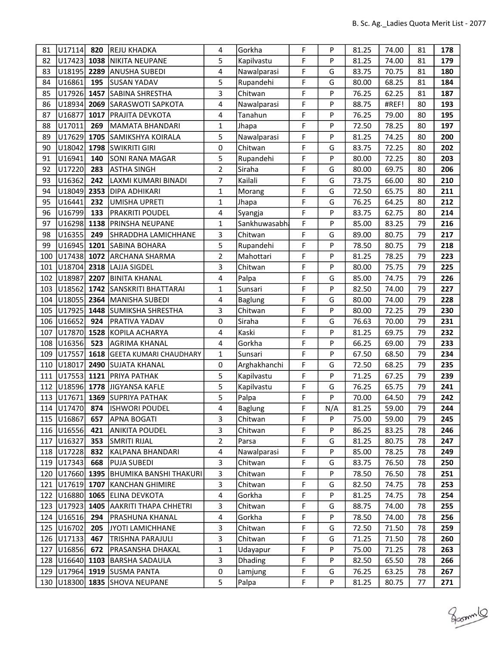| 81  | U17114             | 820  | REJU KHADKA                         | 4            | Gorkha         | F  | P   | 81.25 | 74.00 | 81 | 178 |
|-----|--------------------|------|-------------------------------------|--------------|----------------|----|-----|-------|-------|----|-----|
| 82  | U17423             | 1038 | NIKITA NEUPANE                      | 5            | Kapilvastu     | F  | P   | 81.25 | 74.00 | 81 | 179 |
| 83  | U18195 2289        |      | <b>ANUSHA SUBEDI</b>                | 4            | Nawalparasi    | F  | G   | 83.75 | 70.75 | 81 | 180 |
| 84  | U16861             | 195  | <b>SUSAN YADAV</b>                  | 5            | Rupandehi      | F  | G   | 80.00 | 68.25 | 81 | 184 |
| 85  | U17926 1457        |      | SABINA SHRESTHA                     | 3            | Chitwan        | F  | P   | 76.25 | 62.25 | 81 | 187 |
| 86  | U18934             | 2069 | SARASWOTI SAPKOTA                   | 4            | Nawalparasi    | F  | P   | 88.75 | #REF! | 80 | 193 |
| 87  | U16877             | 1017 | PRAJITA DEVKOTA                     | 4            | Tanahun        | F  | P   | 76.25 | 79.00 | 80 | 195 |
| 88  | U17011             | 269  | MAMATA BHANDARI                     | 1            | Jhapa          | F  | P   | 72.50 | 78.25 | 80 | 197 |
| 89  | U17629 1705        |      | <b>SAMIKSHYA KOIRALA</b>            | 5            | Nawalparasi    | F  | P   | 81.25 | 74.25 | 80 | 200 |
| 90  | U18042             | 1798 | <b>SWIKRITI GIRI</b>                | $\pmb{0}$    | Chitwan        | F  | G   | 83.75 | 72.25 | 80 | 202 |
| 91  | U16941             | 140  | SONI RANA MAGAR                     | 5            | Rupandehi      | F  | P   | 80.00 | 72.25 | 80 | 203 |
| 92  | U17220             | 283  | <b>ASTHA SINGH</b>                  | 2            | Siraha         | F  | G   | 80.00 | 69.75 | 80 | 206 |
| 93  | U16362             | 242  | LAXMI KUMARI BINADI                 | 7            | Kailali        | F  | G   | 73.75 | 66.00 | 80 | 210 |
| 94  | U18049             | 2353 | DIPA ADHIKARI                       | $\mathbf{1}$ | Morang         | F  | G   | 72.50 | 65.75 | 80 | 211 |
| 95  | U16441             | 232  | <b>UMISHA UPRETI</b>                | $\mathbf{1}$ | Jhapa          | F  | G   | 76.25 | 64.25 | 80 | 212 |
| 96  | U16799             | 133  | <b>PRAKRITI POUDEL</b>              | 4            | Syangja        | F  | P   | 83.75 | 62.75 | 80 | 214 |
| 97  | U16298 1138        |      | <b>PRINSHA NEUPANE</b>              | $\mathbf{1}$ | Sankhuwasabha  | F  | P   | 85.00 | 83.25 | 79 | 216 |
| 98  | U16355             | 249  | SHRADDHA LAMICHHANE                 | 3            | Chitwan        | F  | G   | 89.00 | 80.75 | 79 | 217 |
| 99  | U16945             | 1201 | SABINA BOHARA                       | 5            | Rupandehi      | F  | P   | 78.50 | 80.75 | 79 | 218 |
| 100 | U17438 1072        |      | <b>ARCHANA SHARMA</b>               | 2            | Mahottari      | F  | P   | 81.25 | 78.25 | 79 | 223 |
| 101 | U18704 2318        |      | LAJJA SIGDEL                        | 3            | Chitwan        | F  | P   | 80.00 | 75.75 | 79 | 225 |
| 102 | U18987             | 2207 | <b>BINITA KHANAL</b>                | 4            | Palpa          | F  | G   | 85.00 | 74.75 | 79 | 226 |
| 103 | U18562             | 1742 | SANSKRITI BHATTARAI                 | $\mathbf 1$  | Sunsari        | F  | P   | 82.50 | 74.00 | 79 | 227 |
| 104 | U18055             | 2364 | MANISHA SUBEDI                      | 4            | <b>Baglung</b> | F  | G   | 80.00 | 74.00 | 79 | 228 |
| 105 | U17925             | 1448 | SUMIKSHA SHRESTHA                   | 3            | Chitwan        | F  | P   | 80.00 | 72.25 | 79 | 230 |
| 106 | U16652             | 924  | PRATIVA YADAV                       | 0            | Siraha         | F  | G   | 76.63 | 70.00 | 79 | 231 |
| 107 | U17870             | 1528 | KOPILA ACHARYA                      | 4            | Kaski          | F  | P   | 81.25 | 69.75 | 79 | 232 |
| 108 | U <sub>16356</sub> | 523  | AGRIMA KHANAL                       | 4            | Gorkha         | F  | P   | 66.25 | 69.00 | 79 | 233 |
| 109 | U17557             | 1618 | <b>GEETA KUMARI CHAUDHARY</b>       | $\mathbf{1}$ | Sunsari        | F  | P   | 67.50 | 68.50 | 79 | 234 |
| 110 | U18017             | 2490 | <b>SUJATA KHANAL</b>                | 0            | Arghakhanchi   | F. | G   | 72.50 | 68.25 | 79 | 235 |
| 111 | U17553             | 1121 | PRIYA PATHAK                        | 5            | Kapilvastu     | F  | P   | 71.25 | 67.25 | 79 | 239 |
| 112 | U18596 1778        |      | JIGYANSA KAFLE                      | 5            | Kapilvastu     | F  | G   | 76.25 | 65.75 | 79 | 241 |
| 113 | U17671             | 1369 | <b>SUPRIYA PATHAK</b>               | 5            | Palpa          | F  | P   | 70.00 | 64.50 | 79 | 242 |
|     | 114 U17470         | 874  | <b>ISHWORI POUDEL</b>               | 4            | Baglung        | F  | N/A | 81.25 | 59.00 | 79 | 244 |
|     | 115   U16867       | 657  | APNA BOGATI                         | 3            | Chitwan        | F  | P   | 75.00 | 59.00 | 79 | 245 |
|     | 116 U16556         | 421  | ANIKITA POUDEL                      | 3            | Chitwan        | F  | P   | 86.25 | 83.25 | 78 | 246 |
| 117 | U16327             | 353  | SMRITI RIJAL                        | 2            | Parsa          | F  | G   | 81.25 | 80.75 | 78 | 247 |
|     | 118 U17228         | 832  | KALPANA BHANDARI                    | 4            | Nawalparasi    | F  | P   | 85.00 | 78.25 | 78 | 249 |
| 119 | U17343             | 668  | PUJA SUBEDI                         | 3            | Chitwan        | F  | G   | 83.75 | 76.50 | 78 | 250 |
| 120 | U17660 1395        |      | BHUMIKA BANSHI THAKURI              | 3            | Chitwan        | F  | P   | 78.50 | 76.50 | 78 | 251 |
| 121 |                    |      | U17619 1707 KANCHAN GHIMIRE         | 3            | Chitwan        | F  | G   | 82.50 | 74.75 | 78 | 253 |
| 122 | U16880 1065        |      | <b>ELINA DEVKOTA</b>                | 4            | Gorkha         | F  | P   | 81.25 | 74.75 | 78 | 254 |
|     | 123 U17923 1405    |      | <b>AAKRITI THAPA CHHETRI</b>        | 3            | Chitwan        | F  | G   | 88.75 | 74.00 | 78 | 255 |
| 124 | U <sub>16516</sub> | 294  | <b>PRASHUNA KHANAL</b>              | 4            | Gorkha         | F  | P   | 78.50 | 74.00 | 78 | 256 |
|     | 125 U16702         | 205  | JYOTI LAMICHHANE                    | 3            | Chitwan        | F  | G   | 72.50 | 71.50 | 78 | 259 |
|     | 126 U17133         | 467  | <b>TRISHNA PARAJULI</b>             | 3            | Chitwan        | F  | G   | 71.25 | 71.50 | 78 | 260 |
| 127 | U16856             | 672  | PRASANSHA DHAKAL                    | 1            | Udayapur       | F  | P   | 75.00 | 71.25 | 78 | 263 |
| 128 | U16640 1103        |      | <b>BARSHA SADAULA</b>               | 3            | <b>Dhading</b> | F  | P   | 82.50 | 65.50 | 78 | 266 |
| 129 | U17964             | 1919 | <b>SUSMA PANTA</b>                  | 0            | Lamjung        | F  | G   | 76.25 | 63.25 | 78 | 267 |
|     |                    |      | 130   U18300   1835   SHOVA NEUPANE | 5            | Palpa          | F  | P   | 81.25 | 80.75 | 77 | 271 |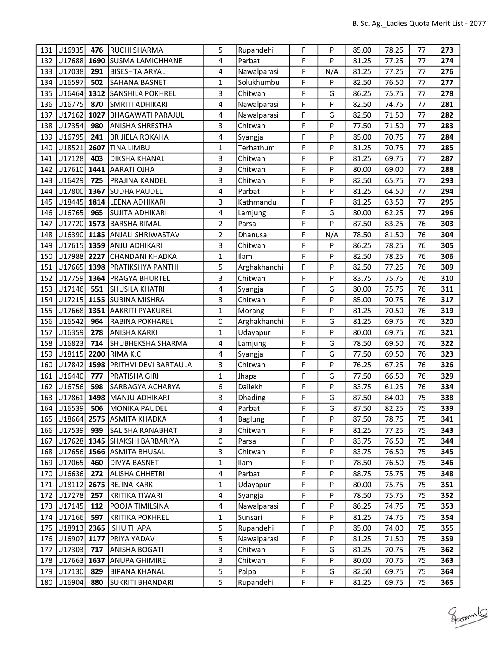| 131 | U16935       | 476  | RUCHI SHARMA                  | 5              | Rupandehi      | F | P   | 85.00 | 78.25 | 77 | 273 |
|-----|--------------|------|-------------------------------|----------------|----------------|---|-----|-------|-------|----|-----|
| 132 | U17688       | 1690 | <b>SUSMA LAMICHHANE</b>       | 4              | Parbat         | F | P   | 81.25 | 77.25 | 77 | 274 |
| 133 | U17038       | 291  | BISESHTA ARYAL                | 4              | Nawalparasi    | F | N/A | 81.25 | 77.25 | 77 | 276 |
| 134 | U16597       | 502  | SAHANA BASNET                 | $\mathbf{1}$   | Solukhumbu     | F | P   | 82.50 | 76.50 | 77 | 277 |
| 135 | U16464       | 1312 | SANSHILA POKHREL              | 3              | Chitwan        | F | G   | 86.25 | 75.75 | 77 | 278 |
| 136 | U16775       | 870  | SMRITI ADHIKARI               | 4              | Nawalparasi    | F | P   | 82.50 | 74.75 | 77 | 281 |
| 137 | U17162       | 1027 | <b>BHAGAWATI PARAJULI</b>     | 4              | Nawalparasi    | F | G   | 82.50 | 71.50 | 77 | 282 |
| 138 | U17354       | 980  | <b>ANISHA SHRESTHA</b>        | 3              | Chitwan        | F | P   | 77.50 | 71.50 | 77 | 283 |
| 139 | U16795       | 241  | <b>BRIJIELA ROKAHA</b>        | 4              | Syangja        | F | P   | 85.00 | 70.75 | 77 | 284 |
| 140 | U18521       | 2607 | TINA LIMBU                    | 1              | Terhathum      | F | P   | 81.25 | 70.75 | 77 | 285 |
| 141 | U17128       | 403  | <b>DIKSHA KHANAL</b>          | 3              | Chitwan        | F | P   | 81.25 | 69.75 | 77 | 287 |
| 142 | U17610 1441  |      | AARATI OJHA                   | 3              | Chitwan        | F | P   | 80.00 | 69.00 | 77 | 288 |
| 143 | U16429       | 725  | PRAJINA KANDEL                | 3              | Chitwan        | F | P   | 82.50 | 65.75 | 77 | 293 |
| 144 | U17800       | 1367 | SUDHA PAUDEL                  | 4              | Parbat         | F | P   | 81.25 | 64.50 | 77 | 294 |
| 145 | U18445       | 1814 | LEENA ADHIKARI                | 3              | Kathmandu      | F | P   | 81.25 | 63.50 | 77 | 295 |
| 146 | U16765       | 965  | SUJITA ADHIKARI               | 4              | Lamjung        | F | G   | 80.00 | 62.25 | 77 | 296 |
| 147 | U17720 1573  |      | <b>BARSHA RIMAL</b>           | $\overline{2}$ | Parsa          | F | P   | 87.50 | 83.25 | 76 | 303 |
| 148 |              |      | U16390 1185 ANJALI SHRIWASTAV | $\overline{2}$ | Dhanusa        | F | N/A | 78.50 | 81.50 | 76 | 304 |
| 149 | U17615 1359  |      | ANJU ADHIKARI                 | 3              | Chitwan        | F | P   | 86.25 | 78.25 | 76 | 305 |
| 150 | U17988 2227  |      | CHANDANI KHADKA               | $\mathbf{1}$   | Ilam           | F | P   | 82.50 | 78.25 | 76 | 306 |
| 151 | U17665 1398  |      | PRATIKSHYA PANTHI             | 5              | Arghakhanchi   | F | P   | 82.50 | 77.25 | 76 | 309 |
| 152 | U17759       | 1364 | <b>PRAGYA BHURTEL</b>         | 3              | Chitwan        | F | P   | 83.75 | 75.75 | 76 | 310 |
| 153 | U17146       | 551  | SHUSILA KHATRI                | 4              | Syangja        | F | G   | 80.00 | 75.75 | 76 | 311 |
| 154 | U17215       | 1155 | <b>SUBINA MISHRA</b>          | 3              | Chitwan        | F | P   | 85.00 | 70.75 | 76 | 317 |
| 155 | U17668       |      | 1351 AAKRITI PYAKUREL         | $\mathbf{1}$   | Morang         | F | P   | 81.25 | 70.50 | 76 | 319 |
| 156 | U16542       | 964  | RABINA POKHAREL               | 0              | Arghakhanchi   | F | G   | 81.25 | 69.75 | 76 | 320 |
| 157 | U16359       | 278  | ANISHA KARKI                  | $\mathbf{1}$   | Udayapur       | F | P   | 80.00 | 69.75 | 76 | 321 |
| 158 | U16823       | 714  | SHUBHEKSHA SHARMA             | 4              | Lamjung        | F | G   | 78.50 | 69.50 | 76 | 322 |
| 159 | U18115       | 2200 | RIMA K.C.                     | 4              | Syangja        | F | G   | 77.50 | 69.50 | 76 | 323 |
| 160 | U17842       | 1598 | PRITHVI DEVI BARTAULA         | 3              | Chitwan        | F | P   | 76.25 | 67.25 | 76 | 326 |
| 161 | U16440       | 777  | <b>PRATISHA GIRI</b>          | $\mathbf{1}$   | Jhapa          | F | G   | 77.50 | 66.50 | 76 | 329 |
| 162 | U16756       | 598  | <b>SARBAGYA ACHARYA</b>       | 6              | Dailekh        | F | P   | 83.75 | 61.25 | 76 | 334 |
| 163 | U17861       | 1498 | MANJU ADHIKARI                | 3              | Dhading        | F | G   | 87.50 | 84.00 | 75 | 338 |
|     | 164 U16539   | 506  | MONIKA PAUDEL                 | 4              | Parbat         | F | G   | 87.50 | 82.25 | 75 | 339 |
|     | 165   U18664 |      | <b>2575 ASMITA KHADKA</b>     | 4              | <b>Baglung</b> | F | P   | 87.50 | 78.75 | 75 | 341 |
|     | 166 U17539   | 939  | <b>SALISHA RANABHAT</b>       | 3              | Chitwan        | F | P   | 81.25 | 77.25 | 75 | 343 |
| 167 | U17628 1345  |      | SHAKSHI BARBARIYA             | 0              | Parsa          | F | P   | 83.75 | 76.50 | 75 | 344 |
| 168 | U17656 1566  |      | <b>ASMITA BHUSAL</b>          | 3              | Chitwan        | F | P   | 83.75 | 76.50 | 75 | 345 |
| 169 | U17065       | 460  | <b>DIVYA BASNET</b>           | $\mathbf{1}$   | Ilam           | F | P   | 78.50 | 76.50 | 75 | 346 |
| 170 | U16636       | 272  | <b>ALISHA CHHETRI</b>         | 4              | Parbat         | F | P   | 88.75 | 75.75 | 75 | 348 |
| 171 | U18112       | 2675 | REJINA KARKI                  | 1              | Udayapur       | F | P   | 80.00 | 75.75 | 75 | 351 |
| 172 | U17278       | 257  | KRITIKA TIWARI                | 4              | Syangja        | F | P   | 78.50 | 75.75 | 75 | 352 |
| 173 | U17145       | 112  | POOJA TIMILSINA               | 4              | Nawalparasi    | F | P   | 86.25 | 74.75 | 75 | 353 |
| 174 | U17166       | 597  | <b>KRITIKA POKHREL</b>        | $\mathbf{1}$   | Sunsari        | F | P   | 81.25 | 74.75 | 75 | 354 |
| 175 | U18913       | 2365 | ISHU THAPA                    | 5              | Rupandehi      | F | P   | 85.00 | 74.00 | 75 | 355 |
| 176 | U16907       | 1177 | <b>PRIYA YADAV</b>            | 5              | Nawalparasi    | F | P   | 81.25 | 71.50 | 75 | 359 |
| 177 | U17303       | 717  | <b>ANISHA BOGATI</b>          | 3              | Chitwan        | F | G   | 81.25 | 70.75 | 75 | 362 |
| 178 | U17663       | 1637 | <b>ANUPA GHIMIRE</b>          | 3              | Chitwan        | F | P   | 80.00 | 70.75 | 75 | 363 |
|     | 179 U17130   | 829  | <b>BIPANA KHANAL</b>          | 5              | Palpa          | F | G   | 82.50 | 69.75 | 75 | 364 |
| 180 | U16904       | 880  | SUKRITI BHANDARI              | 5              | Rupandehi      | F | P   | 81.25 | 69.75 | 75 | 365 |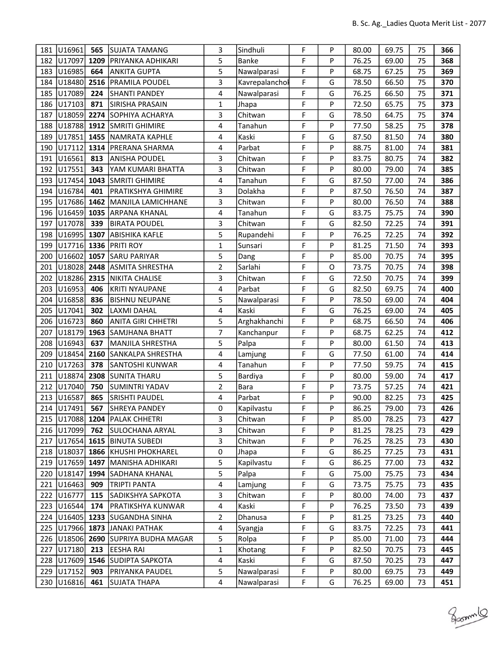| 181        | U16961                 | 565         | lsujata tamang                              | 3              | Sindhuli         | F      | P      | 80.00          | 69.75          | 75       | 366        |
|------------|------------------------|-------------|---------------------------------------------|----------------|------------------|--------|--------|----------------|----------------|----------|------------|
| 182        | U17097                 | 1209        | PRIYANKA ADHIKARI                           | 5              | <b>Banke</b>     | F      | P      | 76.25          | 69.00          | 75       | 368        |
| 183        | U16985                 | 664         | ANKITA GUPTA                                | 5              | Nawalparasi      | F      | P      | 68.75          | 67.25          | 75       | 369        |
| 184        | U18480                 | 2516        | <b>PRAMILA POUDEL</b>                       | 3              | Kavrepalanchol   | F      | G      | 78.50          | 66.50          | 75       | 370        |
| 185        | U17089                 | 224         | <b>SHANTI PANDEY</b>                        | 4              | Nawalparasi      | F      | G      | 76.25          | 66.50          | 75       | 371        |
| 186        | U17103                 | 871         | SIRISHA PRASAIN                             | $\mathbf{1}$   | Jhapa            | F      | P      | 72.50          | 65.75          | 75       | 373        |
| 187        | U18059                 | 2274        | SOPHIYA ACHARYA                             | 3              | Chitwan          | F      | G      | 78.50          | 64.75          | 75       | 374        |
| 188        | U18788                 |             | 1912 SMRITI GHIMIRE                         | 4              | Tanahun          | F      | P      | 77.50          | 58.25          | 75       | 378        |
| 189        | U17851                 | 1455        | NAMRATA KAPHLE                              | 4              | Kaski            | F      | G      | 87.50          | 81.50          | 74       | 380        |
| 190        | U17112                 | 1314        | PRERANA SHARMA                              | 4              | Parbat           | F      | P      | 88.75          | 81.00          | 74       | 381        |
| 191        | U16561                 | 813         | <b>ANISHA POUDEL</b>                        | 3              | Chitwan          | F      | P      | 83.75          | 80.75          | 74       | 382        |
| 192        | U17551                 | 343         | YAM KUMARI BHATTA                           | 3              | Chitwan          | F      | P      | 80.00          | 79.00          | 74       | 385        |
| 193        | U17454                 |             | 1043 SMRITI GHIMIRE                         | 4              | Tanahun          | F      | G      | 87.50          | 77.00          | 74       | 386        |
| 194        | U16784                 | 401         | <b>PRATIKSHYA GHIMIRE</b>                   | 3              | Dolakha          | F      | P      | 87.50          | 76.50          | 74       | 387        |
| 195        | U17686                 | 1462        | MANJILA LAMICHHANE                          | 3              | Chitwan          | F      | P      | 80.00          | 76.50          | 74       | 388        |
| 196        | U16459                 | 1035        | <b>ARPANA KHANAL</b>                        | 4              | Tanahun          | F      | G      | 83.75          | 75.75          | 74       | 390        |
| 197        | U17078                 | 339         | <b>BIRATA POUDEL</b>                        | 3              | Chitwan          | F      | G      | 82.50          | 72.25          | 74       | 391        |
| 198        | U16995 1307            |             | <b>ABISHIKA KAFLE</b>                       | 5              | Rupandehi        | F      | P      | 76.25          | 72.25          | 74       | 392        |
| 199        | U17716 1336            |             | <b>PRITI ROY</b>                            | $\mathbf{1}$   | Sunsari          | F      | P      | 81.25          | 71.50          | 74       | 393        |
| 200        | U16602                 | 1057        | <b>SARU PARIYAR</b>                         | 5              | Dang             | F      | P      | 85.00          | 70.75          | 74       | 395        |
| 201        | U18028                 | 2448        | ASMITA SHRESTHA                             | $\overline{2}$ | Sarlahi          | F      | O      | 73.75          | 70.75          | 74       | 398        |
| 202        | U18286                 | 2315        | NIKITA CHALISE                              | 3              | Chitwan          | F      | G      | 72.50          | 70.75          | 74       | 399        |
| 203        | U16953                 | 406         | <b>KRITI NYAUPANE</b>                       | 4              | Parbat           | F      | G      | 82.50          | 69.75          | 74       | 400        |
| 204        | U16858                 | 836         | <b>BISHNU NEUPANE</b>                       | 5              | Nawalparasi      | F      | P      | 78.50          | 69.00          | 74       | 404        |
| 205        | U17041                 | 302         | <b>LAXMI DAHAL</b>                          | 4              | Kaski            | F      | G      | 76.25          | 69.00          | 74       | 405        |
| 206        | U16723                 | 860         | ANITA GIRI CHHETRI                          | 5              | Arghakhanchi     | F      | P      | 68.75          | 66.50          | 74       | 406        |
| 207        | U18179                 | 1963        | SAMJHANA BHATT                              | $\overline{7}$ | Kanchanpur       | F      | P      | 68.75          | 62.25          | 74       | 412        |
| 208        | U16943                 | 637         | MANJILA SHRESTHA                            | 5              | Palpa            | F      | P      | 80.00          | 61.50          | 74       | 413        |
| 209        | U18454                 | 2160        | SANKALPA SHRESTHA                           | 4              | Lamjung          | F      | G      | 77.50          | 61.00          | 74       | 414        |
| 210        | U17263                 | 378         | SANTOSHI KUNWAR                             | 4              | Tanahun          | F      | P      | 77.50          | 59.75          | 74       | 415        |
| 211        | U18874                 | 2308        | <b>SUNITA THARU</b>                         | 5              | Bardiya          | F      | P      | 80.00          | 59.00          | 74       | 417        |
| 212        | U17040                 | 750         | SUMINTRI YADAV                              | $\overline{2}$ | Bara             | F      | P      | 73.75          | 57.25          | 74       | 421        |
| 213        | U16587                 | 865         | <b>SRISHTI PAUDEL</b>                       | 4              | Parbat           | F      | P      | 90.00          | 82.25          | 73       | 425        |
|            | 214 U17491             | 567         | SHREYA PANDEY                               | 0              | Kapilvastu       | F      | P      | 86.25          | 79.00          | 73       | 426        |
|            |                        |             | 215   U17088   1204   PALAK CHHETRI         | 3              | Chitwan          | F      | P      | 85.00          | 78.25          | 73       | 427        |
|            | 216 U17099             | 762         | <b>SULOCHANA ARYAL</b>                      | 3              | Chitwan          | F      | P      | 81.25          | 78.25          | 73       | 429        |
| 217        | U17654                 | 1615        | <b>BINUTA SUBEDI</b>                        | 3              | Chitwan          | F      | P      | 76.25          | 78.25          | 73       | 430        |
|            | 218 U18037             |             | 1866   KHUSHI PHOKHAREL                     | 0              | Jhapa            | F      | G      | 86.25          | 77.25          | 73       | 431        |
| 219        | U17659                 | 1497        | MANISHA ADHIKARI                            | 5<br>5         | Kapilvastu       | F<br>F | G      | 86.25          | 77.00          | 73       | 432        |
| 220        | U18147                 | 1994        | SADHANA KHANAL                              |                | Palpa            |        | G      | 75.00          | 75.75          | 73       | 434        |
| 221        | U16463                 | 909         | <b>TRIPTI PANTA</b>                         | 4              | Lamjung          | F      | G<br>P | 73.75          | 75.75          | 73       | 435        |
| 222        | U16777                 | 115         | SADIKSHYA SAPKOTA                           | 3              | Chitwan          | F      |        | 80.00          | 74.00          | 73       | 437        |
| 223        | U16544                 | 174         | PRATIKSHYA KUNWAR                           | 4              | Kaski            | F<br>F | P<br>P | 76.25          | 73.50          | 73       | 439        |
| 224        | U16405<br>225   U17966 | 1233        | <b>SUGANDHA SINHA</b><br>1873 JANAKI PATHAK | 2<br>4         | Dhanusa          | F      |        | 81.25<br>83.75 | 73.25<br>72.25 | 73       | 440<br>441 |
|            | U18506                 |             |                                             |                | Syangja<br>Rolpa | F      | G<br>P | 85.00          | 71.00          | 73       | 444        |
| 226<br>227 | U17180                 | 2690<br>213 | SUPRIYA BUDHA MAGAR<br>EESHA RAI            | 5<br>1         | Khotang          | F      | P      | 82.50          | 70.75          | 73<br>73 | 445        |
| 228        | U17609                 | 1546        | SUDIPTA SAPKOTA                             | 4              | Kaski            | F      | G      | 87.50          | 70.25          | 73       | 447        |
|            | 229 U17152             | 903         | PRIYANKA PAUDEL                             | 5              | Nawalparasi      | F      | P      | 80.00          | 69.75          | 73       | 449        |
|            | U16816                 | 461         | <b>SUJATA THAPA</b>                         | 4              | Nawalparasi      | F      | G      | 76.25          | 69.00          | 73       | 451        |
| 230        |                        |             |                                             |                |                  |        |        |                |                |          |            |

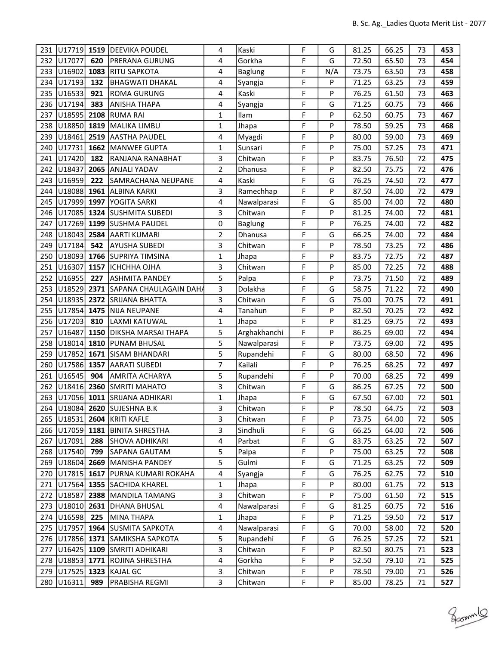| 231 | U17719 1519        |      | DEEVIKA POUDEL                    | 4                       | Kaski          | F | G   | 81.25 | 66.25 | 73 | 453 |
|-----|--------------------|------|-----------------------------------|-------------------------|----------------|---|-----|-------|-------|----|-----|
| 232 | U17077             | 620  | <b>PRERANA GURUNG</b>             | 4                       | Gorkha         | F | G   | 72.50 | 65.50 | 73 | 454 |
| 233 | U16902             | 1083 | <b>RITU SAPKOTA</b>               | 4                       | Baglung        | F | N/A | 73.75 | 63.50 | 73 | 458 |
| 234 | U17193             | 132  | BHAGWATI DHAKAL                   | 4                       | Syangja        | F | P   | 71.25 | 63.25 | 73 | 459 |
| 235 | U16533             | 921  | <b>ROMA GURUNG</b>                | 4                       | Kaski          | F | P   | 76.25 | 61.50 | 73 | 463 |
| 236 | U17194             | 383  | <b>ANISHA THAPA</b>               | $\overline{\mathbf{4}}$ | Syangja        | F | G   | 71.25 | 60.75 | 73 | 466 |
| 237 | U18595             | 2108 | <b>RUMA RAI</b>                   | $\mathbf{1}$            | Ilam           | F | P   | 62.50 | 60.75 | 73 | 467 |
| 238 | U18850 1819        |      | MALIKA LIMBU                      | $\mathbf{1}$            | Jhapa          | F | P   | 78.50 | 59.25 | 73 | 468 |
| 239 | U18461             | 2519 | <b>AASTHA PAUDEL</b>              | 4                       | Myagdi         | F | P   | 80.00 | 59.00 | 73 | 469 |
| 240 | U17731             | 1662 | <b>MANWEE GUPTA</b>               | $\mathbf{1}$            | Sunsari        | F | P   | 75.00 | 57.25 | 73 | 471 |
| 241 | U17420             | 182  | RANJANA RANABHAT                  | 3                       | Chitwan        | F | P   | 83.75 | 76.50 | 72 | 475 |
| 242 | U18437             | 2065 | <b>ANJALI YADAV</b>               | 2                       | Dhanusa        | F | P   | 82.50 | 75.75 | 72 | 476 |
| 243 | U16959             | 222  | SAMRACHANA NEUPANE                | 4                       | Kaski          | F | G   | 76.25 | 74.50 | 72 | 477 |
| 244 | U18088             | 1961 | <b>ALBINA KARKI</b>               | 3                       | Ramechhap      | F | P   | 87.50 | 74.00 | 72 | 479 |
| 245 | U17999             | 1997 | YOGITA SARKI                      | 4                       | Nawalparasi    | F | G   | 85.00 | 74.00 | 72 | 480 |
| 246 | U17085             |      | 1324 SUSHMITA SUBEDI              | 3                       | Chitwan        | F | P   | 81.25 | 74.00 | 72 | 481 |
| 247 |                    |      | U17269 1199 SUSHMA PAUDEL         | 0                       | <b>Baglung</b> | F | P   | 76.25 | 74.00 | 72 | 482 |
| 248 | U18043             | 2584 | <b>AARTI KUMARI</b>               | $\overline{2}$          | Dhanusa        | F | G   | 66.25 | 74.00 | 72 | 484 |
| 249 | U17184             | 542  | AYUSHA SUBEDI                     | 3                       | Chitwan        | F | P   | 78.50 | 73.25 | 72 | 486 |
| 250 | U18093             |      | 1766 SUPRIYA TIMSINA              | 1                       | Jhapa          | F | P   | 83.75 | 72.75 | 72 | 487 |
| 251 | U16307             | 1157 | <b>ICHCHHA OJHA</b>               | 3                       | Chitwan        | F | P   | 85.00 | 72.25 | 72 | 488 |
| 252 | U16955             | 227  | ASHMITA PANDEY                    | 5                       | Palpa          | F | P   | 73.75 | 71.50 | 72 | 489 |
| 253 | U18529             | 2371 | SAPANA CHAULAGAIN DAHA            | 3                       | Dolakha        | F | G   | 58.75 | 71.22 | 72 | 490 |
| 254 | U18935             | 2372 | <b>SRIJANA BHATTA</b>             | 3                       | Chitwan        | F | G   | 75.00 | 70.75 | 72 | 491 |
| 255 | U17854             | 1475 | <b>NIJA NEUPANE</b>               | 4                       | Tanahun        | F | P   | 82.50 | 70.25 | 72 | 492 |
| 256 | U17203             | 810  | LAXMI KATUWAL                     | $\mathbf{1}$            | Jhapa          | F | P   | 81.25 | 69.75 | 72 | 493 |
| 257 | U16487             | 1150 | <b>DIKSHA MARSAI THAPA</b>        | 5                       | Arghakhanchi   | F | P   | 86.25 | 69.00 | 72 | 494 |
| 258 | U18014             | 1810 | <b>PUNAM BHUSAL</b>               | 5                       | Nawalparasi    | F | P   | 73.75 | 69.00 | 72 | 495 |
| 259 | U17852             | 1671 | <b>SISAM BHANDARI</b>             | 5                       | Rupandehi      | F | G   | 80.00 | 68.50 | 72 | 496 |
| 260 | U17586 1357        |      | <b>AARATI SUBEDI</b>              | 7                       | Kailali        | F | P   | 76.25 | 68.25 | 72 | 497 |
| 261 | U16545             | 904  | <b>AMRITA ACHARYA</b>             | 5                       | Rupandehi      | F | P   | 70.00 | 68.25 | 72 | 499 |
| 262 | U <sub>18416</sub> | 2360 | <b>SMRITI MAHATO</b>              | 3                       | Chitwan        | F | G   | 86.25 | 67.25 | 72 | 500 |
| 263 |                    |      | U17056 1011 SRIJANA ADHIKARI      | 1                       | Jhapa          | F | G   | 67.50 | 67.00 | 72 | 501 |
|     |                    |      | 264 U18084 2620 SUJESHNA B.K      | 3                       | Chitwan        | F | P   | 78.50 | 64.75 | 72 | 503 |
|     |                    |      | 265   U18531   2604   KRITI KAFLE | 3                       | Chitwan        | F | P   | 73.75 | 64.00 | 72 | 505 |
|     | 266 U17059 1181    |      | <b>BINITA SHRESTHA</b>            | 3                       | Sindhuli       | F | G   | 66.25 | 64.00 | 72 | 506 |
| 267 | U17091             | 288  | SHOVA ADHIKARI                    | 4                       | Parbat         | F | G   | 83.75 | 63.25 | 72 | 507 |
| 268 | U17540             | 799  | <b>SAPANA GAUTAM</b>              | 5                       | Palpa          | F | P   | 75.00 | 63.25 | 72 | 508 |
| 269 | U18604             | 2669 | MANISHA PANDEY                    | 5                       | Gulmi          | F | G   | 71.25 | 63.25 | 72 | 509 |
| 270 | $ 017815 $ 1617    |      | <b>PURNA KUMARI ROKAHA</b>        | 4                       | Syangja        | F | G   | 76.25 | 62.75 | 72 | 510 |
| 271 | U17564             |      | 1355 SACHIDA KHAREL               | $\mathbf 1$             | Jhapa          | F | P   | 80.00 | 61.75 | 72 | 513 |
| 272 | U18587             | 2388 | MANDILA TAMANG                    | 3                       | Chitwan        | F | P   | 75.00 | 61.50 | 72 | 515 |
| 273 | U18010             | 2631 | <b>DHANA BHUSAL</b>               | 4                       | Nawalparasi    | F | G   | 81.25 | 60.75 | 72 | 516 |
| 274 | U16598             | 225  | MINA THAPA                        | 1                       | Jhapa          | F | P   | 71.25 | 59.50 | 72 | 517 |
| 275 | U17957             |      | 1964 SUSMITA SAPKOTA              | 4                       | Nawalparasi    | F | G   | 70.00 | 58.00 | 72 | 520 |
| 276 | U17856 1371        |      | SAMIKSHA SAPKOTA                  | 5                       | Rupandehi      | F | G   | 76.25 | 57.25 | 72 | 521 |
| 277 | U16425             |      | 1109 SMRITI ADHIKARI              | 3                       | Chitwan        | F | P   | 82.50 | 80.75 | 71 | 523 |
| 278 | U18853             | 1771 | ROJINA SHRESTHA                   | 4                       | Gorkha         | F | P   | 52.50 | 79.10 | 71 | 525 |
| 279 | U17525 1323        |      | KAJAL GC                          | 3                       | Chitwan        | F | P   | 78.50 | 79.00 | 71 | 526 |
| 280 | U16311             | 989  | PRABISHA REGMI                    | 3                       | Chitwan        | F | P   | 85.00 | 78.25 | 71 | 527 |

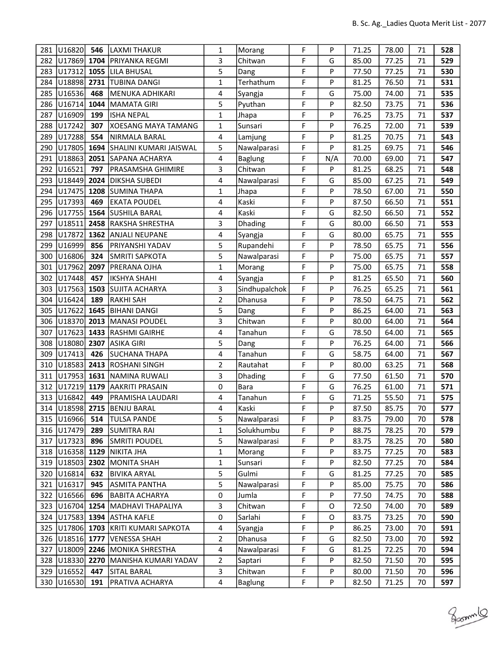| 281 | U16820              | 546  | LAXMI THAKUR                               | $\mathbf{1}$   | Morang         | F | P   | 71.25 | 78.00 | 71 | 528 |
|-----|---------------------|------|--------------------------------------------|----------------|----------------|---|-----|-------|-------|----|-----|
| 282 | U17869 1704         |      | <b>PRIYANKA REGMI</b>                      | 3              | Chitwan        | F | G   | 85.00 | 77.25 | 71 | 529 |
| 283 | U17312              | 1055 | <b>LILA BHUSAL</b>                         | 5              | Dang           | F | P   | 77.50 | 77.25 | 71 | 530 |
| 284 | U18898              | 2731 | <b>TUBINA DANGI</b>                        | $\mathbf{1}$   | Terhathum      | F | P   | 81.25 | 76.50 | 71 | 531 |
| 285 | U16536              | 468  | MENUKA ADHIKARI                            | 4              | Syangja        | F | G   | 75.00 | 74.00 | 71 | 535 |
| 286 | U16714              | 1044 | MAMATA GIRI                                | 5              | Pyuthan        | F | P   | 82.50 | 73.75 | 71 | 536 |
| 287 | U16909              | 199  | <b>ISHA NEPAL</b>                          | $\mathbf{1}$   | Jhapa          | F | P   | 76.25 | 73.75 | 71 | 537 |
| 288 | U17242              | 307  | XOESANG MAYA TAMANG                        | $\mathbf{1}$   | Sunsari        | F | P   | 76.25 | 72.00 | 71 | 539 |
| 289 | U17288              | 554  | NIRMALA BARAL                              | 4              | Lamjung        | F | P   | 81.25 | 70.75 | 71 | 543 |
| 290 | U17805              | 1694 | SHALINI KUMARI JAISWAL                     | 5              | Nawalparasi    | F | P   | 81.25 | 69.75 | 71 | 546 |
| 291 | U18863              | 2051 | SAPANA ACHARYA                             | 4              | Baglung        | F | N/A | 70.00 | 69.00 | 71 | 547 |
| 292 | U16521              | 797  | PRASAMSHA GHIMIRE                          | 3              | Chitwan        | F | P   | 81.25 | 68.25 | 71 | 548 |
| 293 | U18449              | 2024 | <b>DIKSHA SUBEDI</b>                       | 4              | Nawalparasi    | F | G   | 85.00 | 67.25 | 71 | 549 |
| 294 | U17475              | 1208 | <b>SUMINA THAPA</b>                        | $\mathbf{1}$   | Jhapa          | F | P   | 78.50 | 67.00 | 71 | 550 |
| 295 | U17393              | 469  | <b>EKATA POUDEL</b>                        | 4              | Kaski          | F | P   | 87.50 | 66.50 | 71 | 551 |
| 296 | U17755              | 1564 | <b>SUSHILA BARAL</b>                       | 4              | Kaski          | F | G   | 82.50 | 66.50 | 71 | 552 |
| 297 | U18511              | 2458 | RAKSHA SHRESTHA                            | 3              | <b>Dhading</b> | F | G   | 80.00 | 66.50 | 71 | 553 |
| 298 | U17872              |      | 1362 ANJALI NEUPANE                        | 4              | Syangja        | F | G   | 80.00 | 65.75 | 71 | 555 |
| 299 | U16999              | 856  | PRIYANSHI YADAV                            | 5              | Rupandehi      | F | P   | 78.50 | 65.75 | 71 | 556 |
| 300 | U16806              | 324  | SMRITI SAPKOTA                             | 5              | Nawalparasi    | F | P   | 75.00 | 65.75 | 71 | 557 |
| 301 | U17962              | 2097 | PRERANA OJHA                               | $\mathbf{1}$   | Morang         | F | P   | 75.00 | 65.75 | 71 | 558 |
| 302 | U17448              | 457  | IKSHYA SHAHI                               | 4              | Syangja        | F | P   | 81.25 | 65.50 | 71 | 560 |
| 303 | U17563              | 1503 | SUJITA ACHARYA                             | 3              | Sindhupalchok  | F | P   | 76.25 | 65.25 | 71 | 561 |
| 304 | U16424              | 189  | <b>RAKHI SAH</b>                           | $\overline{2}$ | Dhanusa        | F | P   | 78.50 | 64.75 | 71 | 562 |
| 305 | U17622              | 1645 | <b>BIHANI DANGI</b>                        | 5              | Dang           | F | P   | 86.25 | 64.00 | 71 | 563 |
| 306 | U18370 2013         |      | <b>MANASI POUDEL</b>                       | 3              | Chitwan        | F | P   | 80.00 | 64.00 | 71 | 564 |
| 307 | U17623              | 1433 | <b>RASHMI GAIRHE</b>                       | 4              | Tanahun        | F | G   | 78.50 | 64.00 | 71 | 565 |
| 308 | U18080              | 2307 | <b>ASIKA GIRI</b>                          | 5              | Dang           | F | P   | 76.25 | 64.00 | 71 | 566 |
| 309 | U17413              | 426  | SUCHANA THAPA                              | 4              | Tanahun        | F | G   | 58.75 | 64.00 | 71 | 567 |
| 310 | U18583              | 2413 | <b>ROSHANI SINGH</b>                       | 2              | Rautahat       | F | P   | 80.00 | 63.25 | 71 | 568 |
| 311 | U17953              | 1631 | NAMINA RUWALI                              | 3              | Dhading        | F | G   | 77.50 | 61.50 | 71 | 570 |
| 312 | U17219              | 1179 | <b>AAKRITI PRASAIN</b>                     | $\pmb{0}$      | Bara           | F | G   | 76.25 | 61.00 | 71 | 571 |
| 313 | U16842              | 449  | PRAMISHA LAUDARI                           | 4              | Tanahun        | F | G   | 71.25 | 55.50 | 71 | 575 |
|     |                     |      | 314 U18598 2715 BENJU BARAL                | 4              | Kaski          | F | Ρ   | 87.50 | 85.75 | 70 | 577 |
|     | 315   U16966   514  |      | <b>TULSA PANDE</b>                         | 5              | Nawalparasi    | F | P   | 83.75 | 79.00 | 70 | 578 |
|     | 316 U17479          | 289  | SUMITRA RAI                                | $\mathbf{1}$   | Solukhumbu     | F | P   | 88.75 | 78.25 | 70 | 579 |
| 317 | U17323              | 896  | SMRITI POUDEL                              | 5              | Nawalparasi    | F | P   | 83.75 | 78.25 | 70 | 580 |
|     | 318   U16358   1129 |      | NIKITA JHA                                 | $\mathbf{1}$   | Morang         | F | P   | 83.75 | 77.25 | 70 | 583 |
|     | 319 U18503          | 2302 | MONITA SHAH                                | 1              | Sunsari        | F | P   | 82.50 | 77.25 | 70 | 584 |
|     | 320 U16814          | 632  | <b>BIVIKA ARYAL</b>                        | 5              | Gulmi          | F | G   | 81.25 | 77.25 | 70 | 585 |
| 321 | U16317              | 945  | <b>ASMITA PANTHA</b>                       | 5              | Nawalparasi    | F | P   | 85.00 | 75.75 | 70 | 586 |
|     | 322 U16566          | 696  | <b>BABITA ACHARYA</b>                      | 0              | Jumla          | F | P   | 77.50 | 74.75 | 70 | 588 |
|     |                     |      | 323   U16704   1254   MADHAVI THAPALIYA    | 3              | Chitwan        | F | 0   | 72.50 | 74.00 | 70 | 589 |
| 324 |                     |      | U17583 1394 ASTHA KAFLE                    | $\pmb{0}$      | Sarlahi        | F | O   | 83.75 | 73.25 | 70 | 590 |
|     |                     |      | 325   U17806   1703   KRITI KUMARI SAPKOTA | 4              | Syangja        | F | P   | 86.25 | 73.00 | 70 | 591 |
|     | 326 U18516 1777     |      | VENESSA SHAH                               | 2              | Dhanusa        | F | G   | 82.50 | 73.00 | 70 | 592 |
| 327 |                     |      | U18009 2246 MONIKA SHRESTHA                | 4              | Nawalparasi    | F | G   | 81.25 | 72.25 | 70 | 594 |
|     | 328 U18330          | 2270 | MANISHA KUMARI YADAV                       | $\overline{2}$ | Saptari        | F | P   | 82.50 | 71.50 | 70 | 595 |
|     | 329 U16552          | 447  | SITAL BARAL                                | 3              | Chitwan        | F | P   | 80.00 | 71.50 | 70 | 596 |
| 330 | U16530              | 191  | <b>PRATIVA ACHARYA</b>                     | 4              | <b>Baglung</b> | F | P   | 82.50 | 71.25 | 70 | 597 |

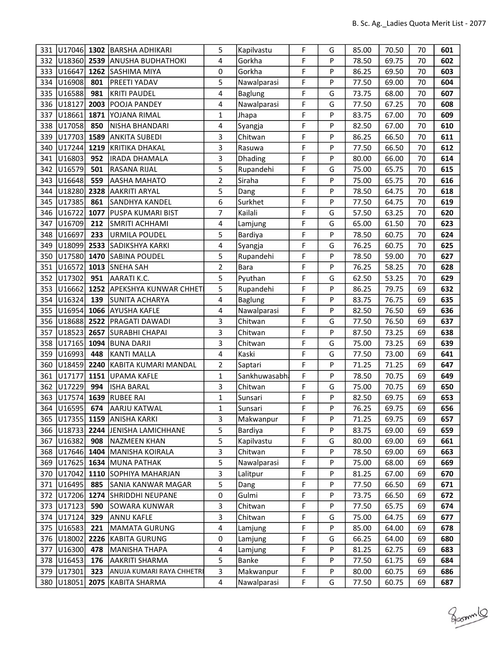| 331 | U17046 1302     |      | <b>BARSHA ADHIKARI</b>       | 5                       | Kapilvastu     | F | G | 85.00 | 70.50 | 70 | 601 |
|-----|-----------------|------|------------------------------|-------------------------|----------------|---|---|-------|-------|----|-----|
|     | 332 U18360 2539 |      | <b>ANUSHA BUDHATHOKI</b>     | 4                       | Gorkha         | F | P | 78.50 | 69.75 | 70 | 602 |
| 333 | U16647          |      | 1262 SASHIMA MIYA            | 0                       | Gorkha         | F | P | 86.25 | 69.50 | 70 | 603 |
| 334 | U16908          | 801  | <b>PREETI YADAV</b>          | 5                       | Nawalparasi    | F | P | 77.50 | 69.00 | 70 | 604 |
| 335 | U16588          | 981  | KRITI PAUDEL                 | 4                       | <b>Baglung</b> | F | G | 73.75 | 68.00 | 70 | 607 |
| 336 | U18127          | 2003 | POOJA PANDEY                 | 4                       | Nawalparasi    | F | G | 77.50 | 67.25 | 70 | 608 |
| 337 | U18661          | 1871 | YOJANA RIMAL                 | $\mathbf{1}$            | Jhapa          | F | P | 83.75 | 67.00 | 70 | 609 |
| 338 | U17058          | 850  | NISHA BHANDARI               | 4                       | Syangja        | F | P | 82.50 | 67.00 | 70 | 610 |
| 339 | U17703          | 1589 | ANKITA SUBEDI                | 3                       | Chitwan        | F | P | 86.25 | 66.50 | 70 | 611 |
| 340 | U17244          | 1219 | KRITIKA DHAKAL               | 3                       | Rasuwa         | F | P | 77.50 | 66.50 | 70 | 612 |
| 341 | U16803          | 952  | IRADA DHAMALA                | 3                       | Dhading        | F | P | 80.00 | 66.00 | 70 | 614 |
| 342 | U16579          | 501  | RASANA RIJAL                 | 5                       | Rupandehi      | F | G | 75.00 | 65.75 | 70 | 615 |
| 343 | U16648          | 559  | AASHA MAHATO                 | $\overline{2}$          | Siraha         | F | P | 75.00 | 65.75 | 70 | 616 |
| 344 | U18280          | 2328 | AAKRITI ARYAL                | 5                       | Dang           | F | P | 78.50 | 64.75 | 70 | 618 |
| 345 | U17385          | 861  | <b>SANDHYA KANDEL</b>        | 6                       | Surkhet        | F | P | 77.50 | 64.75 | 70 | 619 |
| 346 | U16722          | 1077 | <b>PUSPA KUMARI BIST</b>     | 7                       | Kailali        | F | G | 57.50 | 63.25 | 70 | 620 |
| 347 | U16709          | 212  | SMRITI ACHHAMI               | 4                       | Lamjung        | F | G | 65.00 | 61.50 | 70 | 623 |
| 348 | U16697          | 233  | URMILA POUDEL                | 5                       | Bardiya        | F | P | 78.50 | 60.75 | 70 | 624 |
| 349 | U18099          | 2533 | SADIKSHYA KARKI              | 4                       | Syangja        | F | G | 76.25 | 60.75 | 70 | 625 |
| 350 | U17580          | 1470 | <b>SABINA POUDEL</b>         | 5                       | Rupandehi      | F | P | 78.50 | 59.00 | 70 | 627 |
| 351 | U16572          | 1013 | <b>SNEHA SAH</b>             | $\overline{2}$          | <b>Bara</b>    | F | P | 76.25 | 58.25 | 70 | 628 |
| 352 | U17302          | 951  | AARATI K.C.                  | 5                       | Pyuthan        | F | G | 62.50 | 53.25 | 70 | 629 |
| 353 | U16662          | 1252 | <b>APEKSHYA KUNWAR CHHET</b> | 5                       | Rupandehi      | F | P | 86.25 | 79.75 | 69 | 632 |
| 354 | U16324          | 139  | SUNITA ACHARYA               | 4                       | <b>Baglung</b> | F | P | 83.75 | 76.75 | 69 | 635 |
| 355 | U16954          | 1066 | <b>AYUSHA KAFLE</b>          | 4                       | Nawalparasi    | F | P | 82.50 | 76.50 | 69 | 636 |
| 356 | U18688          | 2522 | <b>PRAGATI DAWADI</b>        | 3                       | Chitwan        | F | G | 77.50 | 76.50 | 69 | 637 |
| 357 | U18523          | 2657 | <b>SURABHI CHAPAI</b>        | 3                       | Chitwan        | F | P | 87.50 | 73.25 | 69 | 638 |
| 358 | U17165          | 1094 | <b>BUNA DARJI</b>            | 3                       | Chitwan        | F | G | 75.00 | 73.25 | 69 | 639 |
| 359 | U16993          | 448  | KANTI MALLA                  | $\overline{\mathbf{4}}$ | Kaski          | F | G | 77.50 | 73.00 | 69 | 641 |
| 360 | U18459          | 2240 | KABITA KUMARI MANDAL         | 2                       | Saptari        | F | P | 71.25 | 71.25 | 69 | 647 |
| 361 | U17177          | 1151 | UPAMA KAFLE                  | $\mathbf{1}$            | Sankhuwasabh   | F | P | 78.50 | 70.75 | 69 | 649 |
| 362 | U17229          | 994  | ISHA BARAL                   | 3                       | Chitwan        | F | G | 75.00 | 70.75 | 69 | 650 |
| 363 | U17574          | 1639 | <b>RUBEE RAI</b>             | $\mathbf{1}$            | Sunsari        | F | P | 82.50 | 69.75 | 69 | 653 |
|     | 364 U16595 674  |      | AARJU KATWAL                 | $\mathbf 1$             | Sunsari        | F | P | 76.25 | 69.75 | 69 | 656 |
|     |                 |      | 365 U17355 1159 ANISHA KARKI | 3                       | Makwanpur      | F | P | 71.25 | 69.75 | 69 | 657 |
| 366 | U18733 2244     |      | JENISHA LAMICHHANE           | 5                       | Bardiya        | F | P | 83.75 | 69.00 | 69 | 659 |
| 367 | U16382          | 908  | NAZMEEN KHAN                 | 5                       | Kapilvastu     | F | G | 80.00 | 69.00 | 69 | 661 |
| 368 | U17646 1404     |      | MANISHA KOIRALA              | 3                       | Chitwan        | F | P | 78.50 | 69.00 | 69 | 663 |
| 369 | U17625 1634     |      | MUNA PATHAK                  | 5                       | Nawalparasi    | F | P | 75.00 | 68.00 | 69 | 669 |
| 370 | U17042          | 1110 | SOPHIYA MAHARJAN             | 3                       | Lalitpur       | F | P | 81.25 | 67.00 | 69 | 670 |
| 371 | U16495          | 885  | SANIA KANWAR MAGAR           | 5                       | Dang           | F | P | 77.50 | 66.50 | 69 | 671 |
| 372 | U17206          | 1274 | <b>ISHRIDDHI NEUPANE</b>     | 0                       | Gulmi          | F | P | 73.75 | 66.50 | 69 | 672 |
|     | 373 U17123      | 590  | SOWARA KUNWAR                | 3                       | Chitwan        | F | P | 77.50 | 65.75 | 69 | 674 |
| 374 | U17124          | 329  | ANNU KAFLE                   | 3                       | Chitwan        | F | G | 75.00 | 64.75 | 69 | 677 |
| 375 | U16583          | 221  | MAMATA GURUNG                | 4                       | Lamjung        | F | P | 85.00 | 64.00 | 69 | 678 |
| 376 | U18002          | 2226 | <b>KABITA GURUNG</b>         | $\pmb{0}$               | Lamjung        | F | G | 66.25 | 64.00 | 69 | 680 |
| 377 | U16300          | 478  | MANISHA THAPA                | 4                       | Lamjung        | F | P | 81.25 | 62.75 | 69 | 683 |
| 378 | U16453          | 176  | <b>AAKRITI SHARMA</b>        | 5                       | Banke          | F | P | 77.50 | 61.75 | 69 | 684 |
| 379 | U17301          | 323  | ANUJA KUMARI RAYA CHHETRI    | 3                       | Makwanpur      | F | P | 80.00 | 60.75 | 69 | 686 |
| 380 | U18051          | 2075 | KABITA SHARMA                | 4                       | Nawalparasi    | F | G | 77.50 | 60.75 | 69 | 687 |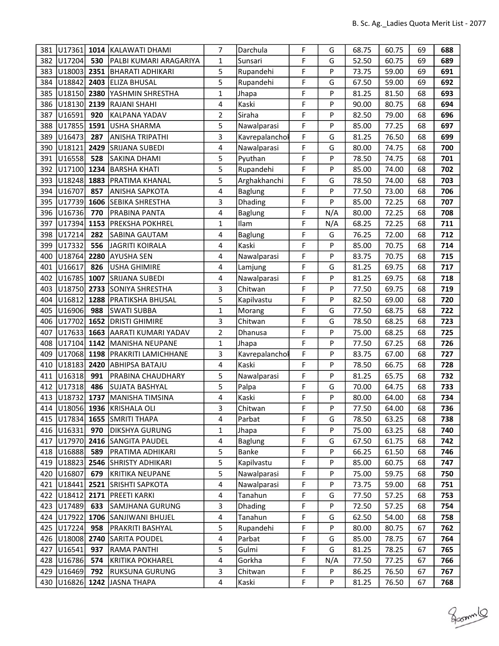| 381        |                  |            | U17361 1014 KALAWATI DHAMI                       | 7              | Darchula        | F      | G        | 68.75          | 60.75          | 69       | 688        |
|------------|------------------|------------|--------------------------------------------------|----------------|-----------------|--------|----------|----------------|----------------|----------|------------|
| 382        | U17204           | 530        | PALBI KUMARI ARAGARIYA                           | $\mathbf{1}$   | Sunsari         | F      | G        | 52.50          | 60.75          | 69       | 689        |
| 383        | U18003           | 2351       | <b>BHARATI ADHIKARI</b>                          | 5              | Rupandehi       | F      | P        | 73.75          | 59.00          | 69       | 691        |
| 384        | U18842           | 2403       | <b>ELIZA BHUSAL</b>                              | 5              | Rupandehi       | F      | G        | 67.50          | 59.00          | 69       | 692        |
| 385        | U18150           | 2380       | YASHMIN SHRESTHA                                 | $\mathbf{1}$   | Jhapa           | F      | P        | 81.25          | 81.50          | 68       | 693        |
| 386        | U18130           | 2139       | RAJANI SHAHI                                     | 4              | Kaski           | F      | P        | 90.00          | 80.75          | 68       | 694        |
| 387        | U16591           | 920        | KALPANA YADAV                                    | $\overline{2}$ | Siraha          | F      | P        | 82.50          | 79.00          | 68       | 696        |
| 388        | U17855           | 1591       | USHA SHARMA                                      | 5              | Nawalparasi     | F      | P        | 85.00          | 77.25          | 68       | 697        |
| 389        | U16473           | 287        | <b>ANISHA TRIPATHI</b>                           | 3              | Kavrepalanchol  | F      | G        | 81.25          | 76.50          | 68       | 699        |
| 390        | U18121           | 2429       | SRIJANA SUBEDI                                   | 4              | Nawalparasi     | F      | G        | 80.00          | 74.75          | 68       | 700        |
| 391        | U16558           | 528        | SAKINA DHAMI                                     | 5              | Pyuthan         | F      | P        | 78.50          | 74.75          | 68       | 701        |
| 392        | U17100           | 1234       | <b>BARSHA KHATI</b>                              | 5              | Rupandehi       | F      | P        | 85.00          | 74.00          | 68       | 702        |
| 393        | U18248           | 1883       | PRATIMA KHANAL                                   | 5              | Arghakhanchi    | F      | G        | 78.50          | 74.00          | 68       | 703        |
| 394        | U16707           | 857        | ANISHA SAPKOTA                                   | 4              | <b>Baglung</b>  | F      | P        | 77.50          | 73.00          | 68       | 706        |
| 395        | U17739           | 1606       | SEBIKA SHRESTHA                                  | 3              | Dhading         | F      | P        | 85.00          | 72.25          | 68       | 707        |
| 396        | U16736           | 770        | PRABINA PANTA                                    | 4              | Baglung         | F      | N/A      | 80.00          | 72.25          | 68       | 708        |
| 397        | U17394           | 1153       | <b>PREKSHA POKHREL</b>                           | $\mathbf{1}$   | Ilam            | F      | N/A      | 68.25          | 72.25          | 68       | 711        |
| 398        | U17214           | 282        | SABINA GAUTAM                                    | 4              | Baglung         | F      | G        | 76.25          | 72.00          | 68       | 712        |
| 399        | U17332           | 556        | <b>JAGRITI KOIRALA</b>                           | 4              | Kaski           | F      | P        | 85.00          | 70.75          | 68       | 714        |
| 400        | U18764           | 2280       | AYUSHA SEN                                       | 4              | Nawalparasi     | F      | P        | 83.75          | 70.75          | 68       | 715        |
| 401        | U16617           | 826        | <b>USHA GHIMIRE</b>                              | 4              | Lamjung         | F      | G        | 81.25          | 69.75          | 68       | 717        |
| 402        | U16785           | 1007       | <b>SRIJANA SUBEDI</b>                            | 4              | Nawalparasi     | F      | P        | 81.25          | 69.75          | 68       | 718        |
| 403        | U18750           | 2733       | SONIYA SHRESTHA                                  | 3              | Chitwan         | F      | P        | 77.50          | 69.75          | 68       | 719        |
| 404        | U16812           | 1288       | PRATIKSHA BHUSAL                                 | 5              | Kapilvastu      | F      | P        | 82.50          | 69.00          | 68       | 720        |
| 405        | U16906           | 988        | SWATI SUBBA                                      | $\mathbf 1$    | Morang          | F      | G        | 77.50          | 68.75          | 68       | 722        |
| 406        | U17702           | 1652       | <b>DRISTI GHIMIRE</b>                            | 3              | Chitwan         | F      | G        | 78.50          | 68.25          | 68       | 723        |
| 407        | U17633           | 1663       | AARATI KUMARI YADAV                              | $\overline{2}$ | Dhanusa         | F      | P        | 75.00          | 68.25          | 68       | 725        |
| 408        | U17104           |            | 1142 MANISHA NEUPANE                             | $\mathbf{1}$   | Jhapa           | F      | P        | 77.50          | 67.25          | 68       | 726        |
| 409        | U17068           | 1198       | <b>PRAKRITI LAMICHHANE</b>                       | 3              | Kavrepalanchol  | F      | P        | 83.75          | 67.00          | 68       | 727        |
| 410        | U18183           | 2420       | <b>ABHIPSA BATAJU</b>                            | 4              | Kaski           | F      | P        | 78.50          | 66.75          | 68       | 728        |
| 411        | U16318           | 991        | <b>PRABINA CHAUDHARY</b>                         | 5              | Nawalparasi     | F      | P        | 81.25          | 65.75          | 68       | 732        |
| 412        | U17318           | 486        | <b>SUJATA BASHYAL</b>                            | 5              | Palpa           | F      | G        | 70.00          | 64.75          | 68       | 733        |
| 413        | U18732           | 1737       | MANISHA TIMSINA                                  | 4              | Kaski           | F      | P        | 80.00          | 64.00          | 68       | 734        |
|            |                  |            | 414 U18056 1936 KRISHALA OLI                     | 3              | Chitwan         | F      | P        | 77.50          | 64.00          | 68       | 736        |
|            |                  |            | 415   U17834   1655   SMRITI THAPA               | 4              | Parbat          | F      | G        | 78.50          | 63.25          | 68       | 738        |
|            | 416 U16331       | 970        | <b>DIKSHYA GURUNG</b>                            | 1              | Jhapa           | F      | P        | 75.00          | 63.25          | 68       | 740        |
|            | 417   U17970     |            | 2416 SANGITA PAUDEL                              | 4              | <b>Baglung</b>  | F      | G        | 67.50          | 61.75          | 68       | 742        |
| 418        | U16888           | 589        | PRATIMA ADHIKARI                                 | 5              | Banke           | F      | P        | 66.25          | 61.50          | 68       | 746        |
| 419        | U18823           | 2546       | <b>SHRISTY ADHIKARI</b>                          | 5              | Kapilvastu      | F<br>F | P        | 85.00          | 60.75          | 68       | 747        |
| 420        | U16807           | 679        | KRITIKA NEUPANE                                  | 5              | Nawalparasi     |        | P        | 75.00          | 59.75          | 68       | 750        |
| 421        | U18441           | 2521       | <b>SRISHTI SAPKOTA</b><br><b>PREETI KARKI</b>    | 4              | Nawalparasi     | F      | P        | 73.75          | 59.00          | 68       | 751        |
| 422        | U18412           | 2171       |                                                  | 4              | Tanahun         | F      | G        | 77.50          | 57.25          | 68       | 753        |
|            | 423 U17489       | 633        | SAMJHANA GURUNG                                  | 3              | Dhading         | F      | P        | 72.50          | 57.25          | 68       | 754        |
|            | 424 U17922       | 1706       | SANJIWANI BHUJEL                                 | 4              | Tanahun         | F<br>F | G<br>P   | 62.50          | 54.00          | 68       | 758        |
| 425        | U17224           | 958        | PRAKRITI BASHYAL                                 | 5              | Rupandehi       | F      |          | 80.00          | 80.75          | 67       | 762<br>764 |
| 426        | U18008           | 2740       | <b>SARITA POUDEL</b>                             | 4              | Parbat          | F      | G        | 85.00          | 78.75          | 67       |            |
| 427        | U16541<br>U16786 | 937        | RAMA PANTHI                                      | 5              | Gulmi<br>Gorkha | F      | G        | 81.25          | 78.25          | 67       | 765        |
| 428<br>429 | U16469           | 574<br>792 | <b>KRITIKA POKHAREL</b><br><b>RUKSUNA GURUNG</b> | 4<br>3         | Chitwan         | F      | N/A<br>P | 77.50<br>86.25 | 77.25<br>76.50 | 67<br>67 | 766<br>767 |
|            |                  |            |                                                  |                |                 | F      |          |                |                |          |            |
|            | 430 U16826       |            | 1242 JASNA THAPA                                 | 4              | Kaski           |        | P        | 81.25          | 76.50          | 67       | 768        |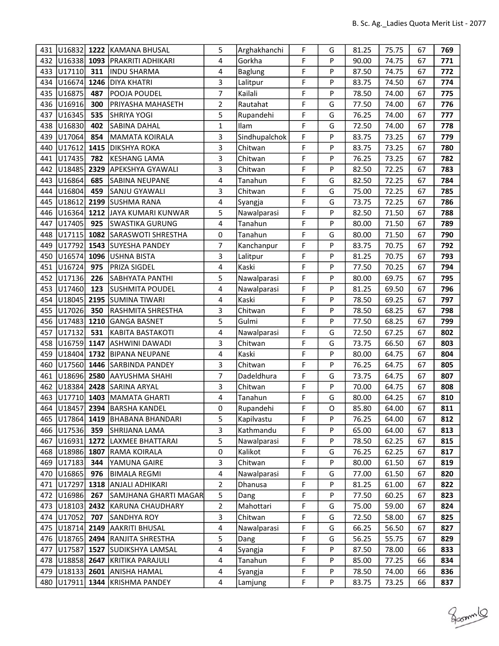| 431 | U16832              | 1222 | KAMANA BHUSAL                          | 5                       | Arghakhanchi  | F      | G      | 81.25 | 75.75 | 67 | 769 |
|-----|---------------------|------|----------------------------------------|-------------------------|---------------|--------|--------|-------|-------|----|-----|
| 432 | U16338 1093         |      | <b>PRAKRITI ADHIKARI</b>               | 4                       | Gorkha        | F      | P      | 90.00 | 74.75 | 67 | 771 |
| 433 | U17110              | 311  | <b>INDU SHARMA</b>                     | 4                       | Baglung       | F      | P      | 87.50 | 74.75 | 67 | 772 |
| 434 | U16674              | 1246 | DIYA KHATRI                            | 3                       | Lalitpur      | F      | P      | 83.75 | 74.50 | 67 | 774 |
| 435 | U16875              | 487  | POOJA POUDEL                           | $\overline{7}$          | Kailali       | F      | P      | 78.50 | 74.00 | 67 | 775 |
| 436 | U16916              | 300  | PRIYASHA MAHASETH                      | $\overline{2}$          | Rautahat      | F      | G      | 77.50 | 74.00 | 67 | 776 |
| 437 | U16345              | 535  | SHRIYA YOGI                            | 5                       | Rupandehi     | F      | G      | 76.25 | 74.00 | 67 | 777 |
| 438 | U16830              | 402  | <b>SABINA DAHAL</b>                    | $\mathbf{1}$            | Ilam          | F      | G      | 72.50 | 74.00 | 67 | 778 |
| 439 | U17064              | 854  | MAMATA KOIRALA                         | 3                       | Sindhupalchok | F      | P      | 83.75 | 73.25 | 67 | 779 |
| 440 | U17612              | 1415 | <b>DIKSHYA ROKA</b>                    | 3                       | Chitwan       | F      | P      | 83.75 | 73.25 | 67 | 780 |
| 441 | U17435              | 782  | <b>KESHANG LAMA</b>                    | 3                       | Chitwan       | F      | P      | 76.25 | 73.25 | 67 | 782 |
| 442 | U18485              | 2329 | <b>APEKSHYA GYAWALI</b>                | 3                       | Chitwan       | F      | P      | 82.50 | 72.25 | 67 | 783 |
| 443 | U16864              | 685  | SABINA NEUPANE                         | 4                       | Tanahun       | F      | G      | 82.50 | 72.25 | 67 | 784 |
| 444 | U16804              | 459  | SANJU GYAWALI                          | 3                       | Chitwan       | F      | G      | 75.00 | 72.25 | 67 | 785 |
| 445 | U18612              | 2199 | <b>SUSHMA RANA</b>                     | 4                       | Syangja       | F      | G      | 73.75 | 72.25 | 67 | 786 |
| 446 | U16364              | 1212 | JAYA KUMARI KUNWAR                     | 5                       | Nawalparasi   | F      | P      | 82.50 | 71.50 | 67 | 788 |
| 447 | U17405              | 925  | SWASTIKA GURUNG                        | 4                       | Tanahun       | F      | P      | 80.00 | 71.50 | 67 | 789 |
| 448 | U17115              | 1082 | SARASWOTI SHRESTHA                     | $\mathbf 0$             | Tanahun       | F      | G      | 80.00 | 71.50 | 67 | 790 |
| 449 | U17792              | 1543 | <b>SUYESHA PANDEY</b>                  | 7                       | Kanchanpur    | F      | P      | 83.75 | 70.75 | 67 | 792 |
| 450 | U16574              | 1096 | USHNA BISTA                            | 3                       | Lalitpur      | F      | P      | 81.25 | 70.75 | 67 | 793 |
| 451 | U16724              | 975  | <b>PRIZA SIGDEL</b>                    | 4                       | Kaski         | F      | P      | 77.50 | 70.25 | 67 | 794 |
| 452 | U17136              | 226  | <b>SABHYATA PANTHI</b>                 | 5                       | Nawalparasi   | F      | P      | 80.00 | 69.75 | 67 | 795 |
| 453 | U17460              | 123  | SUSHMITA POUDEL                        | 4                       | Nawalparasi   | F      | P      | 81.25 | 69.50 | 67 | 796 |
| 454 | U18045              | 2195 | <b>SUMINA TIWARI</b>                   | 4                       | Kaski         | F      | P      | 78.50 | 69.25 | 67 | 797 |
| 455 | U17026              | 350  | RASHMITA SHRESTHA                      | 3                       | Chitwan       | F      | P      | 78.50 | 68.25 | 67 | 798 |
| 456 | U17483              | 1210 | GANGA BASNET                           | 5                       | Gulmi         | F      | P      | 77.50 | 68.25 | 67 | 799 |
| 457 | U17132              | 531  | KABITA BASTAKOTI                       | 4                       | Nawalparasi   | F      | G      | 72.50 | 67.25 | 67 | 802 |
| 458 | U16759              |      | 1147 ASHWINI DAWADI                    | 3                       | Chitwan       | F      | G      | 73.75 | 66.50 | 67 | 803 |
| 459 | U18404              |      | 1732 BIPANA NEUPANE                    | $\overline{\mathbf{4}}$ | Kaski         | F      | P      | 80.00 | 64.75 | 67 | 804 |
| 460 |                     |      | U17560 1446 SARBINDA PANDEY            | 3                       | Chitwan       | F      | P      | 76.25 | 64.75 | 67 | 805 |
| 461 | U18696 2580         |      | <b>AAYUSHMA SHAHI</b>                  | 7                       | Dadeldhura    | F      | G      | 73.75 | 64.75 | 67 | 807 |
| 462 | U18384              |      | 2428 SARINA ARYAL                      | 3                       | Chitwan       | F      | P      | 70.00 | 64.75 | 67 | 808 |
| 463 | U17710 1403         |      | MAMATA GHARTI                          | 4                       | Tanahun       | F      | G      | 80.00 | 64.25 | 67 | 810 |
|     |                     |      | 464 U18457 2394 BARSHA KANDEL          | 0                       | Rupandehi     | F      | O      | 85.80 | 64.00 | 67 | 811 |
|     |                     |      | 465   U17864   1419   BHABANA BHANDARI | 5                       | Kapilvastu    | F      | P      | 76.25 | 64.00 | 67 | 812 |
|     | 466 U17536          | 359  | <b>SHRIJANA LAMA</b>                   | 3                       | Kathmandu     | F      | P      | 65.00 | 64.00 | 67 | 813 |
| 467 | U16931              |      | 1272 LAXMEE BHATTARAI                  | 5                       | Nawalparasi   | F      | P      | 78.50 | 62.25 | 67 | 815 |
| 468 | U18986              | 1807 | RAMA KOIRALA                           | 0                       | Kalikot       | F      | G      | 76.25 | 62.25 | 67 | 817 |
| 469 | U17183              | 344  | YAMUNA GAIRE                           | 3                       | Chitwan       | F      | P      | 80.00 | 61.50 | 67 | 819 |
| 470 | U <sub>16865</sub>  | 976  | <b>BIMALA REGMI</b>                    | 4                       | Nawalparasi   | F      | G      | 77.00 | 61.50 | 67 | 820 |
| 471 | U17297              | 1318 | <b>ANJALI ADHIKARI</b>                 | 2                       | Dhanusa       | F      | P      | 81.25 | 61.00 | 67 | 822 |
| 472 | U16986              | 267  | SAMJHANA GHARTI MAGAR                  | 5                       | Dang          | F      | P      | 77.50 | 60.25 | 67 | 823 |
|     |                     |      | 473   U18103   2432   KARUNA CHAUDHARY | $\overline{2}$          | Mahottari     | F<br>F | G      | 75.00 | 59.00 | 67 | 824 |
| 474 | U17052              | 707  | SANDHYA ROY                            | 3                       | Chitwan       |        | G      | 72.50 | 58.00 | 67 | 825 |
|     | 475   U18714   2149 |      | AAKRITI BHUSAL                         | 4                       | Nawalparasi   | F<br>F | G      | 66.25 | 56.50 | 67 | 827 |
| 476 |                     |      | U18765 2494 RANJITA SHRESTHA           | 5                       | Dang          |        | G      | 56.25 | 55.75 | 67 | 829 |
| 477 | U17587              | 1527 | SUDIKSHYA LAMSAL                       | 4                       | Syangja       | F<br>F | P<br>P | 87.50 | 78.00 | 66 | 833 |
| 478 | U18858              | 2647 | KRITIKA PARAJULI                       | 4                       | Tanahun       | F      |        | 85.00 | 77.25 | 66 | 834 |
| 479 | U18133              | 2601 | <b>ANISHA HAMAL</b>                    | 4                       | Syangja       |        | P      | 78.50 | 74.00 | 66 | 836 |
|     | 480 U17911          |      | 1344 KRISHMA PANDEY                    | 4                       | Lamjung       | F      | P      | 83.75 | 73.25 | 66 | 837 |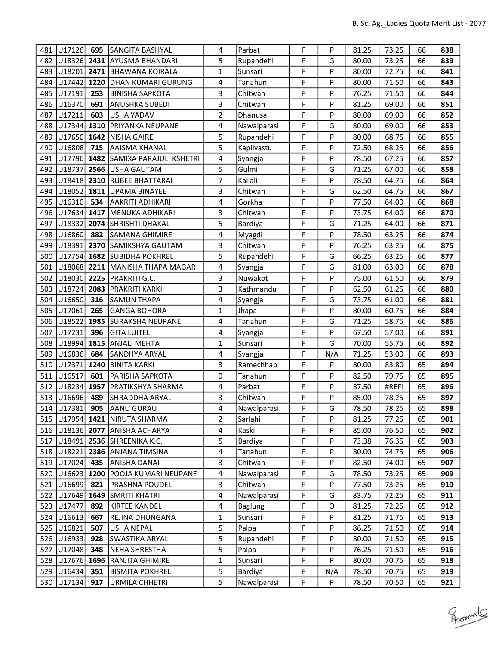| 481 | U17126      | 695  | <b>SANGITA BASHYAL</b>               | 4              | Parbat         | F | P   | 81.25 | 73.25 | 66 | 838 |
|-----|-------------|------|--------------------------------------|----------------|----------------|---|-----|-------|-------|----|-----|
| 482 | U18326      | 2431 | <b>AYUSMA BHANDARI</b>               | 5              | Rupandehi      | F | G   | 80.00 | 73.25 | 66 | 839 |
| 483 | U18201      | 2471 | <b>BHAWANA KOIRALA</b>               | $\mathbf{1}$   | Sunsari        | F | P   | 80.00 | 72.75 | 66 | 841 |
| 484 | U17442      | 1220 | DHAN KUMARI GURUNG                   | 4              | Tanahun        | F | P   | 80.00 | 71.50 | 66 | 843 |
| 485 | U17191      | 253  | <b>BINISHA SAPKOTA</b>               | 3              | Chitwan        | F | P   | 76.25 | 71.50 | 66 | 844 |
| 486 | U16370      | 691  | <b>ANUSHKA SUBEDI</b>                | 3              | Chitwan        | F | P   | 81.25 | 69.00 | 66 | 851 |
| 487 | U17211      | 603  | <b>USHA YADAV</b>                    | 2              | Dhanusa        | F | P   | 80.00 | 69.00 | 66 | 852 |
| 488 | U17344      | 1310 | PRIYANKA NEUPANE                     | 4              | Nawalparasi    | F | G   | 80.00 | 69.00 | 66 | 853 |
| 489 | U17650      | 1642 | <b>NISHA GAIRE</b>                   | 5              | Rupandehi      | F | P   | 80.00 | 68.75 | 66 | 855 |
| 490 | U16808      | 715  | <b>AAISMA KHANAL</b>                 | 5              | Kapilvastu     | F | P   | 72.50 | 68.25 | 66 | 856 |
| 491 | U17796 1482 |      | SAMIXA PARAJULI KSHETRI              | 4              | Syangja        | F | P   | 78.50 | 67.25 | 66 | 857 |
| 492 | U18737      | 2566 | USHA GAUTAM                          | 5              | Gulmi          | F | G   | 71.25 | 67.00 | 66 | 858 |
| 493 | U18418      | 2310 | <b>RUBEE BHATTARAI</b>               | $\overline{7}$ | Kailali        | F | P   | 78.50 | 64.75 | 66 | 864 |
| 494 | U18052      | 1811 | UPAMA BINAYEE                        | 3              | Chitwan        | F | G   | 62.50 | 64.75 | 66 | 867 |
| 495 | U16310      | 534  | AAKRITI ADHIKARI                     | 4              | Gorkha         | F | P   | 77.50 | 64.00 | 66 | 868 |
| 496 | U17634 1417 |      | MENUKA ADHIKARI                      | 3              | Chitwan        | F | P   | 73.75 | 64.00 | 66 | 870 |
| 497 | U18332      | 2074 | <b>SHRISHTI DHAKAL</b>               | 5              | Bardiya        | F | G   | 71.25 | 64.00 | 66 | 871 |
| 498 | U16860      | 882  | SAMANA GHIMIRE                       | 4              | Myagdi         | F | P   | 78.50 | 63.25 | 66 | 874 |
| 499 | U18391      | 2370 | SAMIKSHYA GAUTAM                     | 3              | Chitwan        | F | P   | 76.25 | 63.25 | 66 | 875 |
| 500 | U17754      |      | 1682 SUBIDHA POKHREL                 | 5              | Rupandehi      | F | G   | 66.25 | 63.25 | 66 | 877 |
| 501 | U18068      |      | 2211 MANISHA THAPA MAGAR             | 4              | Syangja        | F | G   | 81.00 | 63.00 | 66 | 878 |
| 502 | U18030 2225 |      | <b>PRAKRITI G.C.</b>                 | 3              | Nuwakot        | F | P   | 75.00 | 61.50 | 66 | 879 |
| 503 | U18724      | 2083 | PRAKRITI KARKI                       | 3              | Kathmandu      | F | P   | 62.50 | 61.25 | 66 | 880 |
| 504 | U16650      | 316  | SAMUN THAPA                          | 4              | Syangja        | F | G   | 73.75 | 61.00 | 66 | 881 |
| 505 | U17061      | 265  | <b>GANGA BOHORA</b>                  | $\mathbf{1}$   | Jhapa          | F | P   | 80.00 | 60.75 | 66 | 884 |
| 506 | U18522      | 1985 | SURAKSHA NEUPANE                     | 4              | Tanahun        | F | G   | 71.25 | 58.75 | 66 | 886 |
| 507 | U17231      | 396  | <b>GITA LUITEL</b>                   | 4              | Syangja        | F | P   | 67.50 | 57.00 | 66 | 891 |
| 508 | U18994      | 1815 | ANJALI MEHTA                         | $\mathbf{1}$   | Sunsari        | F | G   | 70.00 | 55.75 | 66 | 892 |
| 509 | U16836      | 684  | SANDHYA ARYAL                        | 4              | Syangja        | F | N/A | 71.25 | 53.00 | 66 | 893 |
| 510 | U17371      | 1240 | BINITA KARKI                         | 3              | Ramechhap      | F | P   | 80.00 | 83.80 | 65 | 894 |
| 511 | U16517      | 601  | <b>PARISHA SAPKOTA</b>               | 0              | Tanahun        | F | P   | 82.50 | 79.75 | 65 | 895 |
| 512 | U18234      | 1957 | PRATIKSHYA SHARMA                    | 4              | Parbat         | F | P   | 87.50 | #REF! | 65 | 896 |
| 513 | U16696      | 489  | SHRADDHA ARYAL                       | 3              | Chitwan        | F | P   | 85.00 | 78.25 | 65 | 897 |
|     | 514 U17381  | 905  | AANU GURAU                           | 4              | Nawalparasi    | F | G   | 78.50 | 78.25 | 65 | 898 |
|     |             |      | 515   U17954   1421   NIRUTA SHARMA  | 2              | Sarlahi        | F | P   | 81.25 | 77.25 | 65 | 901 |
|     |             |      | 516   U18136   2077   ANISHA ACHARYA | 4              | Kaski          | F | P   | 85.00 | 76.50 | 65 | 902 |
| 517 | U18491      | 2536 | SHREENIKA K.C.                       | 5              | Bardiya        | F | P   | 73.38 | 76.35 | 65 | 903 |
|     | 518 U18221  | 2386 | <b>ANJANA TIMSINA</b>                | 4              | Tanahun        | F | P   | 80.00 | 74.75 | 65 | 906 |
| 519 | U17024      | 435  | ANISHA DANAI                         | 3              | Chitwan        | F | P   | 82.50 | 74.00 | 65 | 907 |
| 520 | U16623      | 1200 | POOJA KUMARI NEUPANE                 | 4              | Nawalparasi    | F | G   | 78.50 | 73.25 | 65 | 909 |
| 521 | U16699      | 821  | <b>PRASHNA POUDEL</b>                | 3              | Chitwan        | F | P   | 77.50 | 73.25 | 65 | 910 |
|     | 522 U17649  | 1649 | SMRITI KHATRI                        | 4              | Nawalparasi    | F | G   | 83.75 | 72.25 | 65 | 911 |
|     | 523 U17477  | 892  | KIRTEE KANDEL                        | 4              | <b>Baglung</b> | F | O   | 81.25 | 72.25 | 65 | 912 |
| 524 | U16613      | 667  | REJINA DHUNGANA                      | $\mathbf{1}$   | Sunsari        | F | P   | 81.25 | 71.75 | 65 | 913 |
|     | 525 U16821  | 507  | <b>USHA NEPAL</b>                    | 5              | Palpa          | F | P   | 86.25 | 71.50 | 65 | 914 |
| 526 | U16933      | 928  | SWASTIKA ARYAL                       | 5              | Rupandehi      | F | P   | 80.00 | 71.50 | 65 | 915 |
| 527 | U17048      | 348  | NEHA SHRESTHA                        | 5              | Palpa          | F | P   | 76.25 | 71.50 | 65 | 916 |
| 528 | U17676      | 1696 | <b>RANJITA GHIMIRE</b>               | $\mathbf{1}$   | Sunsari        | F | P   | 80.00 | 70.75 | 65 | 918 |
|     | 529 U16434  | 351  | <b>BISMITA POKHREL</b>               | 5              | Bardiya        | F | N/A | 78.50 | 70.75 | 65 | 919 |
| 530 | U17134      | 917  | <b>URMILA CHHETRI</b>                | 5              | Nawalparasi    | F | P   | 78.50 | 70.50 | 65 | 921 |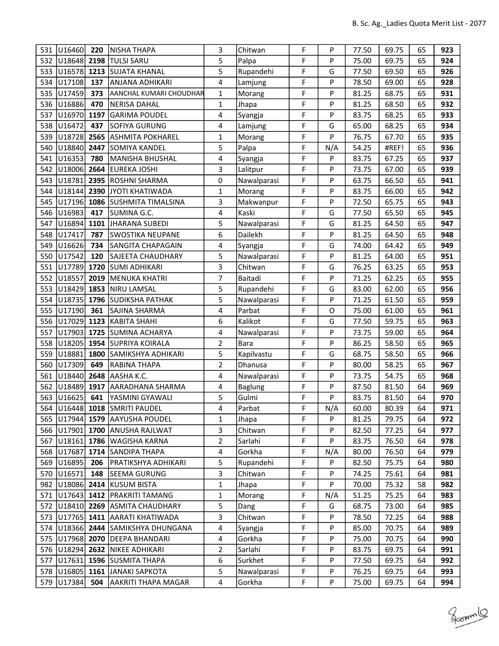| 531 | U16460          | 220  | NISHA THAPA                          | 3              | Chitwan        | F | P   | 77.50 | 69.75 | 65 | 923 |
|-----|-----------------|------|--------------------------------------|----------------|----------------|---|-----|-------|-------|----|-----|
| 532 | U18648 2198     |      | <b>TULSI SARU</b>                    | 5              | Palpa          | F | P   | 75.00 | 69.75 | 65 | 924 |
| 533 | U16578 1213     |      | <b>SUJATA KHANAL</b>                 | 5              | Rupandehi      | F | G   | 77.50 | 69.50 | 65 | 926 |
| 534 | U17108          | 137  | ANJANA ADHIKARI                      | $\overline{4}$ | Lamjung        | F | P   | 78.50 | 69.00 | 65 | 928 |
| 535 | U17459          | 373  | <b>AANCHAL KUMARI CHOUDHAR</b>       | $\mathbf{1}$   | Morang         | F | P   | 81.25 | 68.75 | 65 | 931 |
| 536 | U16886          | 470  | NERISA DAHAL                         | $\mathbf{1}$   | Jhapa          | F | P   | 81.25 | 68.50 | 65 | 932 |
| 537 | U16970          | 1197 | <b>GARIMA POUDEL</b>                 | 4              | Syangja        | F | P   | 83.75 | 68.25 | 65 | 933 |
| 538 | U16472          | 437  | SOFIYA GURUNG                        | 4              | Lamjung        | F | G   | 65.00 | 68.25 | 65 | 934 |
| 539 | U18728          | 2565 | ASHMITA POKHAREL                     | $\mathbf{1}$   | Morang         | F | P   | 76.75 | 67.70 | 65 | 935 |
| 540 | U18840          | 2447 | SOMIYA KANDEL                        | 5              | Palpa          | F | N/A | 54.25 | #REF! | 65 | 936 |
| 541 | U16353          | 780  | MANISHA BHUSHAL                      | 4              | Syangja        | F | P   | 83.75 | 67.25 | 65 | 937 |
| 542 | U18006          | 2664 | <b>EUREKA JOSHI</b>                  | 3              | Lalitpur       | F | P   | 73.75 | 67.00 | 65 | 939 |
| 543 | U18781          | 2395 | <b>ROSHNI SHARMA</b>                 | 0              | Nawalparasi    | F | P   | 63.75 | 66.50 | 65 | 941 |
| 544 | U18144          | 2390 | JYOTI KHATIWADA                      | $\mathbf{1}$   | Morang         | F | P   | 83.75 | 66.00 | 65 | 942 |
| 545 | U17196          | 1086 | SUSHMITA TIMALSINA                   | 3              | Makwanpur      | F | P   | 72.50 | 65.75 | 65 | 943 |
| 546 | U16983          | 417  | SUMINA G.C.                          | 4              | Kaski          | F | G   | 77.50 | 65.50 | 65 | 945 |
| 547 | U16894          | 1101 | JHARANA SUBEDI                       | 5              | Nawalparasi    | F | G   | 81.25 | 64.50 | 65 | 947 |
| 548 | U17417          | 787  | SWOSTIKA NEUPANE                     | 6              | Dailekh        | F | P   | 81.25 | 64.50 | 65 | 948 |
| 549 | U16626          | 734  | <b>SANGITA CHAPAGAIN</b>             | 4              | Syangja        | F | G   | 74.00 | 64.42 | 65 | 949 |
| 550 | U17542          | 120  | SAJEETA CHAUDHARY                    | 5              | Nawalparasi    | F | P   | 81.25 | 64.00 | 65 | 951 |
| 551 | U17789          | 1720 | <b>SUMI ADHIKARI</b>                 | 3              | Chitwan        | F | G   | 76.25 | 63.25 | 65 | 953 |
| 552 | U18557          | 2019 | MENUKA KHATRI                        | 7              | Baitadi        | F | P   | 71.25 | 62.25 | 65 | 955 |
| 553 | U18429          | 1853 | NIRU LAMSAL                          | 5              | Rupandehi      | F | G   | 83.00 | 62.00 | 65 | 956 |
| 554 | U18735          | 1796 | <b>SUDIKSHA PATHAK</b>               | 5              | Nawalparasi    | F | P   | 71.25 | 61.50 | 65 | 959 |
| 555 | U17190          | 361  | SAJINA SHARMA                        | 4              | Parbat         | F | O   | 75.00 | 61.00 | 65 | 961 |
| 556 | U17029          | 1123 | KABITA SHAHI                         | 6              | Kalikot        | F | G   | 77.50 | 59.75 | 65 | 963 |
| 557 | U17903          |      | 1725 SUMINA ACHARYA                  | 4              | Nawalparasi    | F | P   | 73.75 | 59.00 | 65 | 964 |
| 558 | U18205          |      | 1954 SUPRIYA KOIRALA                 | $\overline{2}$ | Bara           | F | P   | 86.25 | 58.50 | 65 | 965 |
| 559 | U18881          | 1800 | SAMIKSHYA ADHIKARI                   | 5              | Kapilvastu     | F | G   | 68.75 | 58.50 | 65 | 966 |
| 560 | U17309          | 649  | RABINA THAPA                         | $\overline{2}$ | Dhanusa        | F | P   | 80.00 | 58.25 | 65 | 967 |
| 561 | U18440          | 2648 | AASHA K.C.                           | 4              | Nawalparasi    | F | P   | 73.75 | 54.75 | 65 | 968 |
| 562 | U18489          | 1917 | AARADHANA SHARMA                     | 4              | <b>Baglung</b> | F | P   | 87.50 | 81.50 | 64 | 969 |
| 563 | U16625          | 641  | YASMINI GYAWALI                      | 5              | Gulmi          | F | P   | 83.75 | 81.50 | 64 | 970 |
|     |                 |      | 564 U16448 1018 SMRITI PAUDEL        | 4              | Parbat         | F | N/A | 60.00 | 80.39 | 64 | 971 |
|     |                 |      | 565   U17944   1579   AAYUSHA POUDEL | 1              | Jhapa          | F | P   | 81.25 | 79.75 | 64 | 972 |
|     |                 |      | 566   U17901   1700   ANUSHA RAJLWAT | 3              | Chitwan        | F | P   | 82.50 | 77.25 | 64 | 977 |
| 567 | U18161          |      | 1786 WAGISHA KARNA                   | $\mathbf 2$    | Sarlahi        | F | P   | 83.75 | 76.50 | 64 | 978 |
| 568 | U17687          |      | 1714 SANDIPA THAPA                   | 4              | Gorkha         | F | N/A | 80.00 | 76.50 | 64 | 979 |
| 569 | U16895          | 206  | PRATIKSHYA ADHIKARI                  | 5              | Rupandehi      | F | P   | 82.50 | 75.75 | 64 | 980 |
| 570 | U16571          | 148  | SEEMA GURUNG                         | 3              | Chitwan        | F | P   | 74.25 | 75.61 | 64 | 981 |
| 982 | U18086          | 2414 | KUSUM BISTA                          | $\mathbf{1}$   | Jhapa          | F | P   | 70.00 | 75.32 | 58 | 982 |
| 571 | U17643          | 1412 | <b>PRAKRITI TAMANG</b>               | $\mathbf{1}$   | Morang         | F | N/A | 51.25 | 75.25 | 64 | 983 |
|     | 572 U18410 2269 |      | <b>ASMITA CHAUDHARY</b>              | 5              | Dang           | F | G   | 68.75 | 73.00 | 64 | 985 |
| 573 |                 |      | U17765   1411   AARATI KHATIWADA     | 3              | Chitwan        | F | P   | 78.50 | 72.25 | 64 | 988 |
| 574 |                 |      | U18366 2444 SAMIKSHYA DHUNGANA       | 4              | Syangja        | F | P   | 85.00 | 70.75 | 64 | 989 |
| 575 | U17968 2070     |      | <b>DEEPA BHANDARI</b>                | 4              | Gorkha         | F | P   | 75.00 | 70.75 | 64 | 990 |
| 576 | U18294          |      | 2632   NIKEE ADHIKARI                | 2              | Sarlahi        | F | P   | 83.75 | 69.75 | 64 | 991 |
| 577 | U17631          |      | 1596 SUSMITA THAPA                   | 6              | Surkhet        | F | P   | 77.50 | 69.75 | 64 | 992 |
| 578 | U16805          |      | 1161 JANAKI SAPKOTA                  | 5              | Nawalparasi    | F | P   | 76.25 | 69.75 | 64 | 993 |
|     | 579 U17384      | 504  | <b>AAKRITI THAPA MAGAR</b>           | 4              | Gorkha         | F | P   | 75.00 | 69.75 | 64 | 994 |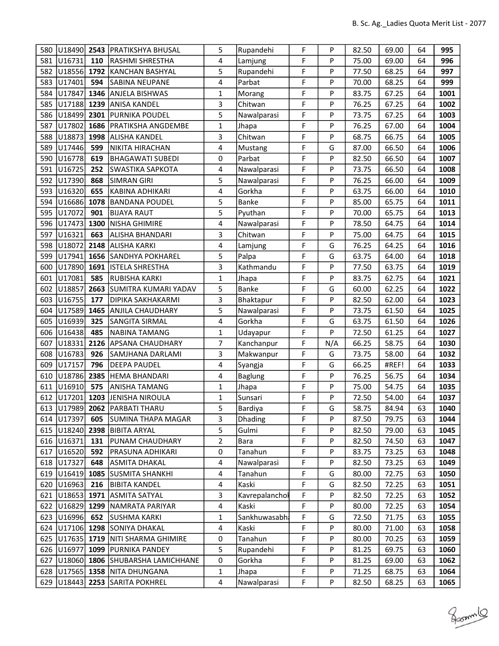| 580 | U18490              |      | 2543 PRATIKSHYA BHUSAL                    | 5                       | Rupandehi      | F | P   | 82.50 | 69.00 | 64 | 995  |
|-----|---------------------|------|-------------------------------------------|-------------------------|----------------|---|-----|-------|-------|----|------|
| 581 | U16731              | 110  | RASHMI SHRESTHA                           | 4                       | Lamjung        | F | P   | 75.00 | 69.00 | 64 | 996  |
| 582 | U18556 1792         |      | KANCHAN BASHYAL                           | 5                       | Rupandehi      | F | P   | 77.50 | 68.25 | 64 | 997  |
| 583 | U17401              | 594  | SABINA NEUPANE                            | 4                       | Parbat         | F | P   | 70.00 | 68.25 | 64 | 999  |
| 584 | U17847              | 1346 | <b>ANJELA BISHWAS</b>                     | 1                       | Morang         | F | P   | 83.75 | 67.25 | 64 | 1001 |
| 585 | U17188              | 1239 | lanisa kandel                             | 3                       | Chitwan        | F | P   | 76.25 | 67.25 | 64 | 1002 |
| 586 | U18499              | 2301 | PURNIKA POUDEL                            | 5                       | Nawalparasi    | F | P   | 73.75 | 67.25 | 64 | 1003 |
| 587 | U17802              | 1686 | PRATIKSHA ANGDEMBE                        | 1                       | Jhapa          | F | P   | 76.25 | 67.00 | 64 | 1004 |
| 588 | U18873              | 1998 | <b>ALISHA KANDEL</b>                      | 3                       | Chitwan        | F | P   | 68.75 | 66.75 | 64 | 1005 |
| 589 | U17446              | 599  | NIKITA HIRACHAN                           | 4                       | Mustang        | F | G   | 87.00 | 66.50 | 64 | 1006 |
| 590 | U16778              | 619  | <b>BHAGAWATI SUBEDI</b>                   | 0                       | Parbat         | F | P   | 82.50 | 66.50 | 64 | 1007 |
| 591 | U16725              | 252  | <b>SWASTIKA SAPKOTA</b>                   | 4                       | Nawalparasi    | F | P   | 73.75 | 66.50 | 64 | 1008 |
| 592 | U17390              | 868  | SIMRAN GIRI                               | 5                       | Nawalparasi    | F | P   | 76.25 | 66.00 | 64 | 1009 |
| 593 | U16320              | 655  | KABINA ADHIKARI                           | 4                       | Gorkha         | F | P   | 63.75 | 66.00 | 64 | 1010 |
| 594 | U16686              | 1078 | <b>BANDANA POUDEL</b>                     | 5                       | <b>Banke</b>   | F | P   | 85.00 | 65.75 | 64 | 1011 |
| 595 | U17072              | 901  | <b>BIJAYA RAUT</b>                        | 5                       | Pyuthan        | F | P   | 70.00 | 65.75 | 64 | 1013 |
| 596 | U17473              | 1300 | NISHA GHIMIRE                             | 4                       | Nawalparasi    | F | P   | 78.50 | 64.75 | 64 | 1014 |
| 597 | U16321              | 663  | ALISHA BHANDARI                           | 3                       | Chitwan        | F | P   | 75.00 | 64.75 | 64 | 1015 |
| 598 | U18072              | 2148 | ALISHA KARKI                              | 4                       | Lamjung        | F | G   | 76.25 | 64.25 | 64 | 1016 |
| 599 | U17941              | 1656 | SANDHYA POKHAREL                          | 5                       | Palpa          | F | G   | 63.75 | 64.00 | 64 | 1018 |
| 600 | U17890              | 1691 | <b>ISTELA SHRESTHA</b>                    | 3                       | Kathmandu      | F | P   | 77.50 | 63.75 | 64 | 1019 |
| 601 | U17081              | 585  | RUBISHA KARKI                             | $\mathbf{1}$            | Jhapa          | F | P   | 83.75 | 62.75 | 64 | 1021 |
| 602 | U18857              | 2663 | SUMITRA KUMARI YADAV                      | 5                       | Banke          | F | G   | 60.00 | 62.25 | 64 | 1022 |
| 603 | U16755              | 177  | DIPIKA SAKHAKARMI                         | 3                       | Bhaktapur      | F | P   | 82.50 | 62.00 | 64 | 1023 |
| 604 | U17589              | 1465 | <b>ANJILA CHAUDHARY</b>                   | 5                       | Nawalparasi    | F | P   | 73.75 | 61.50 | 64 | 1025 |
| 605 | U16939              | 325  | SANGITA SIRMAL                            | 4                       | Gorkha         | F | G   | 63.75 | 61.50 | 64 | 1026 |
| 606 | U16438              | 485  | NABINA TAMANG                             | $\mathbf{1}$            | Udayapur       | F | P   | 72.50 | 61.25 | 64 | 1027 |
| 607 | U18331              | 2126 | <b>APSANA CHAUDHARY</b>                   | $\overline{7}$          | Kanchanpur     | F | N/A | 66.25 | 58.75 | 64 | 1030 |
| 608 | U16783              | 926  | SAMJHANA DARLAMI                          | 3                       | Makwanpur      | F | G   | 73.75 | 58.00 | 64 | 1032 |
| 609 | U17157              | 796  | <b>DEEPA PAUDEL</b>                       | 4                       | Syangja        | F | G   | 66.25 | #REF! | 64 | 1033 |
| 610 | U18786              | 2385 | HEMA BHANDARI                             | 4                       | <b>Baglung</b> | F | P   | 76.25 | 56.75 | 64 | 1034 |
| 611 | U16910              | 575  | ANISHA TAMANG                             | $\mathbf{1}$            | Jhapa          | F | P   | 75.00 | 54.75 | 64 | 1035 |
| 612 | U17201              | 1203 | JENISHA NIROULA                           | 1                       | Sunsari        | F | P   | 72.50 | 54.00 | 64 | 1037 |
|     |                     |      | 613 U17989 2062 PARBATI THARU             | 5                       | <b>Bardiya</b> | F | G   | 58.75 | 84.94 | 63 | 1040 |
|     | 614 U17397          | 605  | <b>SUMINA THAPA MAGAR</b>                 | 3                       | Dhading        | F | P   | 87.50 | 79.75 | 63 | 1044 |
|     | 615   U18240   2398 |      | <b>BIBITA ARYAL</b>                       | 5                       | Gulmi          | F | P   | 82.50 | 79.00 | 63 | 1045 |
|     | 616 U16371          | 131  | <b>PUNAM CHAUDHARY</b>                    | $\overline{\mathbf{c}}$ | Bara           | F | P   | 82.50 | 74.50 | 63 | 1047 |
| 617 | U16520              | 592  | PRASUNA ADHIKARI                          | 0                       | Tanahun        | F | P   | 83.75 | 73.25 | 63 | 1048 |
|     | 618 U17327          | 648  | <b>ASMITA DHAKAL</b>                      | 4                       | Nawalparasi    | F | P   | 82.50 | 73.25 | 63 | 1049 |
|     | 619 U16419 1085     |      | SUSMITA SHANKHI                           | 4                       | Tanahun        | F | G   | 80.00 | 72.75 | 63 | 1050 |
|     | 620 U16963          | 216  | <b>BIBITA KANDEL</b>                      | 4                       | Kaski          | F | G   | 82.50 | 72.25 | 63 | 1051 |
|     | 621 U18653          |      | 1971 ASMITA SATYAL                        | 3                       | Kavrepalanchol | F | P   | 82.50 | 72.25 | 63 | 1052 |
|     | 622 U16829 1299     |      | NAMRATA PARIYAR                           | 4                       | Kaski          | F | P   | 80.00 | 72.25 | 63 | 1054 |
|     | 623 U16996          | 652  | <b>SUSHMA KARKI</b>                       | 1                       | Sankhuwasabh   | F | G   | 72.50 | 71.75 | 63 | 1055 |
| 624 |                     |      | U17106 1298 SONIYA DHAKAL                 | 4                       | Kaski          | F | P   | 80.00 | 71.00 | 63 | 1058 |
|     |                     |      | 625   U17635   1719   NITI SHARMA GHIMIRE | $\pmb{0}$               | Tanahun        | F | P   | 80.00 | 70.25 | 63 | 1059 |
|     | 626 U16977          |      | 1099  PURNIKA PANDEY                      | 5                       | Rupandehi      | F | P   | 81.25 | 69.75 | 63 | 1060 |
| 627 |                     |      | U18060 1806 SHUBARSHA LAMICHHANE          | 0                       | Gorkha         | F | P   | 81.25 | 69.00 | 63 | 1062 |
| 628 | $ U17565 $ 1358     |      | <b>INITA DHUNGANA</b>                     | 1                       | Jhapa          | F | P   | 71.25 | 68.75 | 63 | 1064 |
|     | 629 U18443          |      | 2253 SARITA POKHREL                       | 4                       | Nawalparasi    | F | P   | 82.50 | 68.25 | 63 | 1065 |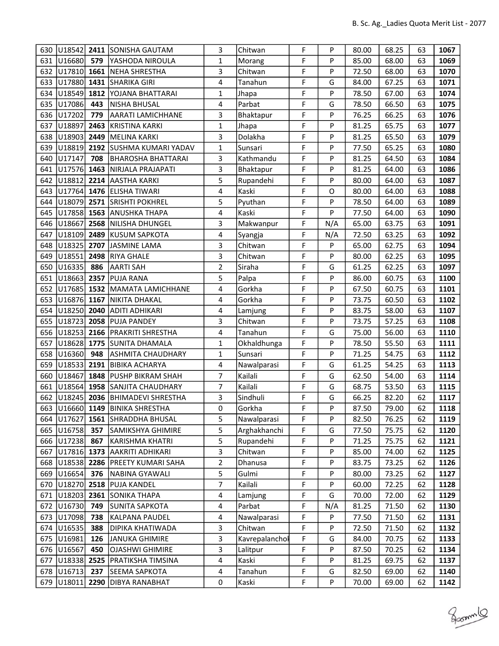| 630 |                    |      | U18542 2411 SONISHA GAUTAM            | 3                       | Chitwan        | F | P   | 80.00 | 68.25 | 63 | 1067 |
|-----|--------------------|------|---------------------------------------|-------------------------|----------------|---|-----|-------|-------|----|------|
| 631 | U16680             | 579  | YASHODA NIROULA                       | $\mathbf{1}$            | Morang         | F | P   | 85.00 | 68.00 | 63 | 1069 |
| 632 | $U17810$ 1661      |      | NEHA SHRESTHA                         | 3                       | Chitwan        | F | P   | 72.50 | 68.00 | 63 | 1070 |
| 633 | U17880             |      | <b>1431 SHARIKA GIRI</b>              | 4                       | Tanahun        | F | G   | 84.00 | 67.25 | 63 | 1071 |
| 634 | U18549             |      | 1812 YOJANA BHATTARAI                 | $\mathbf{1}$            | Jhapa          | F | P   | 78.50 | 67.00 | 63 | 1074 |
| 635 | U17086             | 443  | NISHA BHUSAL                          | $\overline{\mathbf{4}}$ | Parbat         | F | G   | 78.50 | 66.50 | 63 | 1075 |
| 636 | U17202             | 779  | <b>AARATI LAMICHHANE</b>              | 3                       | Bhaktapur      | F | P   | 76.25 | 66.25 | 63 | 1076 |
| 637 | U18897             | 2463 | KRISTINA KARKI                        | $\mathbf{1}$            | Jhapa          | F | P   | 81.25 | 65.75 | 63 | 1077 |
| 638 | U18903             | 2449 | MELINA KARKI                          | 3                       | Dolakha        | F | P   | 81.25 | 65.50 | 63 | 1079 |
| 639 | U18819             |      | 2192 SUSHMA KUMARI YADAV              | $\mathbf{1}$            | Sunsari        | F | P   | 77.50 | 65.25 | 63 | 1080 |
| 640 | U17147             | 708  | <b>BHAROSHA BHATTARAI</b>             | 3                       | Kathmandu      | F | P   | 81.25 | 64.50 | 63 | 1084 |
| 641 | U17576             | 1463 | NIRJALA PRAJAPATI                     | 3                       | Bhaktapur      | F | P   | 81.25 | 64.00 | 63 | 1086 |
| 642 | U18812             |      | 2214 AASTHA KARKI                     | 5                       | Rupandehi      | F | P   | 80.00 | 64.00 | 63 | 1087 |
| 643 |                    |      | U17764 1476 ELISHA TIWARI             | 4                       | Kaski          | F | O   | 80.00 | 64.00 | 63 | 1088 |
| 644 | U18079             | 2571 | <b>SRISHTI POKHREL</b>                | 5                       | Pyuthan        | F | P   | 78.50 | 64.00 | 63 | 1089 |
| 645 | U17858 1563        |      | <b>ANUSHKA THAPA</b>                  | 4                       | Kaski          | F | P   | 77.50 | 64.00 | 63 | 1090 |
| 646 | U18667             | 2568 | NILISHA DHUNGEL                       | 3                       | Makwanpur      | F | N/A | 65.00 | 63.75 | 63 | 1091 |
| 647 | U18109             | 2489 | KUSUM SAPKOTA                         | 4                       | Syangja        | F | N/A | 72.50 | 63.25 | 63 | 1092 |
| 648 | U18325             | 2707 | JASMINE LAMA                          | 3                       | Chitwan        | F | P   | 65.00 | 62.75 | 63 | 1094 |
| 649 | U <sub>18551</sub> | 2498 | <b>RIYA GHALE</b>                     | 3                       | Chitwan        | F | P   | 80.00 | 62.25 | 63 | 1095 |
| 650 | U16335             | 886  | AARTI SAH                             | $\overline{2}$          | Siraha         | F | G   | 61.25 | 62.25 | 63 | 1097 |
| 651 | U18663             | 2357 | <b>PUJA RANA</b>                      | 5                       | Palpa          | F | P   | 86.00 | 60.75 | 63 | 1100 |
| 652 | U17685             |      | 1532 MAMATA LAMICHHANE                | 4                       | Gorkha         | F | P   | 67.50 | 60.75 | 63 | 1101 |
| 653 | U16876             | 1167 | NIKITA DHAKAL                         | 4                       | Gorkha         | F | P   | 73.75 | 60.50 | 63 | 1102 |
| 654 | U18250             | 2040 | ADITI ADHIKARI                        | 4                       | Lamjung        | F | P   | 83.75 | 58.00 | 63 | 1107 |
| 655 | U18723             | 2058 | <b>PUJA PANDEY</b>                    | 3                       | Chitwan        | F | P   | 73.75 | 57.25 | 63 | 1108 |
| 656 | U18253             |      | 2166   PRAKRITI SHRESTHA              | 4                       | Tanahun        | F | G   | 75.00 | 56.00 | 63 | 1110 |
| 657 | U18628             | 1775 | <b>SUNITA DHAMALA</b>                 | $\mathbf{1}$            | Okhaldhunga    | F | P   | 78.50 | 55.50 | 63 | 1111 |
| 658 | U16360             | 948  | <b>ASHMITA CHAUDHARY</b>              | $\mathbf{1}$            | Sunsari        | F | P   | 71.25 | 54.75 | 63 | 1112 |
| 659 | U18533             | 2191 | <b>BIBIKA ACHARYA</b>                 | 4                       | Nawalparasi    | F | G   | 61.25 | 54.25 | 63 | 1113 |
| 660 | U18467             | 1848 | <b>PUSHP BIKRAM SHAH</b>              | 7                       | Kailali        | F | G   | 62.50 | 54.00 | 63 | 1114 |
| 661 | U18564             |      | 1958 SANJITA CHAUDHARY                | $\overline{7}$          | Kailali        | F | G   | 68.75 | 53.50 | 63 | 1115 |
| 662 | U18245             | 2036 | <b>BHIMADEVI SHRESTHA</b>             | 3                       | Sindhuli       | F | G   | 66.25 | 82.20 | 62 | 1117 |
|     |                    |      | 663 U16660 1149 BINIKA SHRESTHA       | 0                       | Gorkha         | F | Ρ   | 87.50 | 79.00 | 62 | 1118 |
|     |                    |      | 664   U17627   1561   SHRADDHA BHUSAL | 5                       | Nawalparasi    | F | P   | 82.50 | 76.25 | 62 | 1119 |
| 665 | U16758             | 357  | SAMIKSHYA GHIMIRE                     | 5                       | Arghakhanchi   | F | G   | 77.50 | 75.75 | 62 | 1120 |
| 666 | U17238             | 867  | KARISHMA KHATRI                       | 5                       | Rupandehi      | F | P   | 71.25 | 75.75 | 62 | 1121 |
| 667 | U17816             | 1373 | AAKRITI ADHIKARI                      | 3                       | Chitwan        | F | P   | 85.00 | 74.00 | 62 | 1125 |
| 668 | U18538             | 2286 | <b>PREETY KUMARI SAHA</b>             | 2                       | Dhanusa        | F | P   | 83.75 | 73.25 | 62 | 1126 |
| 669 | U16654             | 376  | NABINA GYAWALI                        | 5                       | Gulmi          | F | P   | 80.00 | 73.25 | 62 | 1127 |
| 670 | U18270             | 2518 | <b>PUJA KANDEL</b>                    | $\overline{7}$          | Kailali        | F | P   | 60.00 | 72.25 | 62 | 1128 |
| 671 | U18203             |      | 2361 SONIKA THAPA                     | 4                       | Lamjung        | F | G   | 70.00 | 72.00 | 62 | 1129 |
| 672 | U16730             | 749  | SUNITA SAPKOTA                        | 4                       | Parbat         | F | N/A | 81.25 | 71.50 | 62 | 1130 |
| 673 | U17098             | 738  | KALPANA PAUDEL                        | 4                       | Nawalparasi    | F | P   | 77.50 | 71.50 | 62 | 1131 |
| 674 | U16535             | 388  | <b>DIPIKA KHATIWADA</b>               | 3                       | Chitwan        | F | P   | 72.50 | 71.50 | 62 | 1132 |
| 675 | U16981             | 126  | <b>JANUKA GHIMIRE</b>                 | 3                       | Kavrepalanchol | F | G   | 84.00 | 70.75 | 62 | 1133 |
|     | 676 U16567         | 450  | <b>OJASHWI GHIMIRE</b>                | 3                       | Lalitpur       | F | P   | 87.50 | 70.25 | 62 | 1134 |
| 677 | U18338             | 2525 | PRATIKSHA TIMSINA                     | 4                       | Kaski          | F | P   | 81.25 | 69.75 | 62 | 1137 |
| 678 | U16713             | 237  | SEEMA SAPKOTA                         | 4                       | Tanahun        | F | G   | 82.50 | 69.00 | 62 | 1140 |
| 679 | U18011             | 2290 | <b>DIBYA RANABHAT</b>                 | $\pmb{0}$               | Kaski          | F | P   | 70.00 | 69.00 | 62 | 1142 |

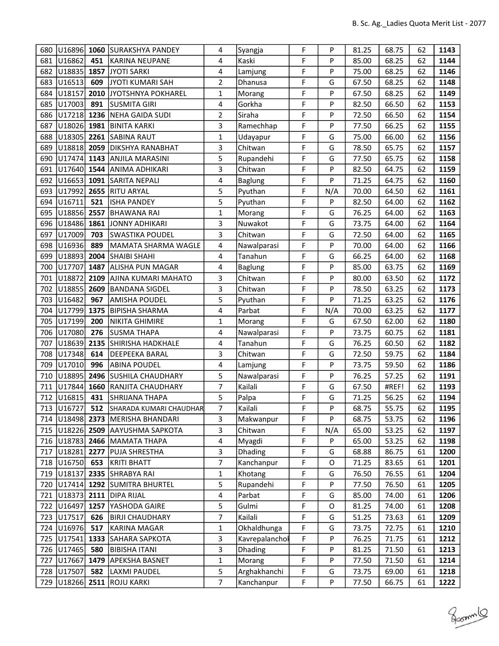| 680 | U16896 1060             |      | <b>SURAKSHYA PANDEY</b>                | 4              | Syangja        | F | P   | 81.25 | 68.75 | 62 | 1143 |
|-----|-------------------------|------|----------------------------------------|----------------|----------------|---|-----|-------|-------|----|------|
| 681 | U16862                  | 451  | KARINA NEUPANE                         | 4              | Kaski          | F | P   | 85.00 | 68.25 | 62 | 1144 |
| 682 | U18835                  | 1857 | JYOTI SARKI                            | 4              | Lamjung        | F | P   | 75.00 | 68.25 | 62 | 1146 |
| 683 | U16513                  | 609  | JYOTI KUMARI SAH                       | $\overline{2}$ | Dhanusa        | F | G   | 67.50 | 68.25 | 62 | 1148 |
| 684 | U18157                  | 2010 | JYOTSHNYA POKHAREL                     | $\mathbf{1}$   | Morang         | F | P   | 67.50 | 68.25 | 62 | 1149 |
| 685 | U17003                  | 891  | <b>SUSMITA GIRI</b>                    | 4              | Gorkha         | F | P   | 82.50 | 66.50 | 62 | 1153 |
| 686 | U17218 1236             |      | NEHA GAIDA SUDI                        | $\overline{2}$ | Siraha         | F | P   | 72.50 | 66.50 | 62 | 1154 |
| 687 |                         |      | U18026 1981 BINITA KARKI               | 3              | Ramechhap      | F | P   | 77.50 | 66.25 | 62 | 1155 |
| 688 | U18305                  |      | 2261 SABINA RAUT                       | $\mathbf{1}$   | Udayapur       | F | G   | 75.00 | 66.00 | 62 | 1156 |
| 689 | U18818                  | 2059 | <b>DIKSHYA RANABHAT</b>                | 3              | Chitwan        | F | G   | 78.50 | 65.75 | 62 | 1157 |
| 690 | U17474                  |      | 1143 ANJILA MARASINI                   | 5              | Rupandehi      | F | G   | 77.50 | 65.75 | 62 | 1158 |
| 691 | U17640 1544             |      | ANIMA ADHIKARI                         | 3              | Chitwan        | F | P   | 82.50 | 64.75 | 62 | 1159 |
| 692 |                         |      | U16653 1091 SARITA NEPALI              | 4              | Baglung        | F | P   | 71.25 | 64.75 | 62 | 1160 |
| 693 | U17992                  | 2655 | <b>RITU ARYAL</b>                      | 5              | Pyuthan        | F | N/A | 70.00 | 64.50 | 62 | 1161 |
| 694 | U16711                  | 521  | <b>ISHA PANDEY</b>                     | 5              | Pyuthan        | F | P   | 82.50 | 64.00 | 62 | 1162 |
| 695 | U18856 2557             |      | <b>BHAWANA RAI</b>                     | $\mathbf{1}$   | Morang         | F | G   | 76.25 | 64.00 | 62 | 1163 |
| 696 | U <sub>18486</sub> 1861 |      | JONNY ADHIKARI                         | 3              | Nuwakot        | F | G   | 73.75 | 64.00 | 62 | 1164 |
| 697 | U17009                  | 703  | SWASTIKA POUDEL                        | 3              | Chitwan        | F | G   | 72.50 | 64.00 | 62 | 1165 |
| 698 | U16936                  | 889  | MAMATA SHARMA WAGLE                    | 4              | Nawalparasi    | F | P   | 70.00 | 64.00 | 62 | 1166 |
| 699 | U18893                  | 2004 | <b>SHAIBI SHAHI</b>                    | 4              | Tanahun        | F | G   | 66.25 | 64.00 | 62 | 1168 |
| 700 | U17707                  | 1487 | ALISHA PUN MAGAR                       | 4              | Baglung        | F | P   | 85.00 | 63.75 | 62 | 1169 |
| 701 | U18872                  | 2109 | AJINA KUMARI MAHATO                    | 3              | Chitwan        | F | P   | 80.00 | 63.50 | 62 | 1172 |
| 702 | U18855                  | 2609 | <b>BANDANA SIGDEL</b>                  | 3              | Chitwan        | F | P   | 78.50 | 63.25 | 62 | 1173 |
| 703 | U16482                  | 967  | <b>AMISHA POUDEL</b>                   | 5              | Pyuthan        | F | P   | 71.25 | 63.25 | 62 | 1176 |
| 704 | U17799                  | 1375 | <b>BIPISHA SHARMA</b>                  | 4              | Parbat         | F | N/A | 70.00 | 63.25 | 62 | 1177 |
| 705 | U17199                  | 200  | NIKITA GHIMIRE                         | $\mathbf{1}$   | Morang         | F | G   | 67.50 | 62.00 | 62 | 1180 |
| 706 | U17080                  | 276  | <b>SUSMA THAPA</b>                     | 4              | Nawalparasi    | F | P   | 73.75 | 60.75 | 62 | 1181 |
| 707 | U18639                  | 2135 | SHIRISHA HADKHALE                      | 4              | Tanahun        | F | G   | 76.25 | 60.50 | 62 | 1182 |
| 708 | U17348                  | 614  | <b>DEEPEEKA BARAL</b>                  | 3              | Chitwan        | F | G   | 72.50 | 59.75 | 62 | 1184 |
| 709 | U17010                  | 996  | ABINA POUDEL                           | 4              | Lamjung        | F | P   | 73.75 | 59.50 | 62 | 1186 |
| 710 | U18895                  | 2496 | <b>SUSHILA CHAUDHARY</b>               | 5              | Nawalparasi    | F | P   | 76.25 | 57.25 | 62 | 1191 |
| 711 | U17844                  | 1660 | <b>RANJITA CHAUDHARY</b>               | $\overline{7}$ | Kailali        | F | G   | 67.50 | #REF! | 62 | 1193 |
| 712 | U16815                  | 431  | SHRIJANA THAPA                         | 5              | Palpa          | F | G   | 71.25 | 56.25 | 62 | 1194 |
|     | 713 U16727              | 512  | SHARADA KUMARI CHAUDHAR                | 7              | Kailali        | F | Ρ   | 68.75 | 55.75 | 62 | 1195 |
|     |                         |      | 714   U18498   2373   MERISHA BHANDARI | 3              | Makwanpur      | F | P   | 68.75 | 53.75 | 62 | 1196 |
|     |                         |      | 715   U18226   2509   AAYUSHMA SAPKOTA | 3              | Chitwan        | F | N/A | 65.00 | 53.25 | 62 | 1197 |
|     | 716 U18783              |      | 2466   MAMATA THAPA                    | 4              | Myagdi         | F | P   | 65.00 | 53.25 | 62 | 1198 |
| 717 | U18281 2277             |      | <b>PUJA SHRESTHA</b>                   | 3              | Dhading        | F | G   | 68.88 | 86.75 | 61 | 1200 |
|     | 718   U16750            | 653  | KRITI BHATT                            | 7              | Kanchanpur     | F | O   | 71.25 | 83.65 | 61 | 1201 |
|     | 719 U18137              |      | 2335 SHRABYA RAI                       | $\mathbf{1}$   | Khotang        | F | G   | 76.50 | 76.55 | 61 | 1204 |
| 720 |                         |      | U17414 1292 SUMITRA BHURTEL            | 5              | Rupandehi      | F | P   | 77.50 | 76.50 | 61 | 1205 |
| 721 | U18373                  |      | 2111   DIPA RIJAL                      | 4              | Parbat         | F | G   | 85.00 | 74.00 | 61 | 1206 |
| 722 | U16497                  |      | 1257 YASHODA GAIRE                     | 5              | Gulmi          | F | O   | 81.25 | 74.00 | 61 | 1208 |
| 723 | U17517                  | 626  | <b>BIRJI CHAUDHARY</b>                 | 7              | Kailali        | F | G   | 51.25 | 73.63 | 61 | 1209 |
| 724 | U16976                  | 517  | KARINA MAGAR                           | $\mathbf{1}$   | Okhaldhunga    | F | G   | 73.75 | 72.75 | 61 | 1210 |
| 725 | U17541                  | 1333 | SAHARA SAPKOTA                         | 3              | Kavrepalanchol | F | P   | 76.25 | 71.75 | 61 | 1212 |
|     | 726 U17465              | 580  | <b>BIBISHA ITANI</b>                   | 3              | <b>Dhading</b> | F | P   | 81.25 | 71.50 | 61 | 1213 |
| 727 | U17667                  | 1479 | APEKSHA BASNET                         | $\mathbf{1}$   | Morang         | F | P   | 77.50 | 71.50 | 61 | 1214 |
| 728 | U17507                  | 582  | LAXMI PAUDEL                           | 5              | Arghakhanchi   | F | G   | 73.75 | 69.00 | 61 | 1218 |
| 729 | U18266                  |      | 2511 ROJU KARKI                        | $\overline{7}$ | Kanchanpur     | F | P   | 77.50 | 66.75 | 61 | 1222 |

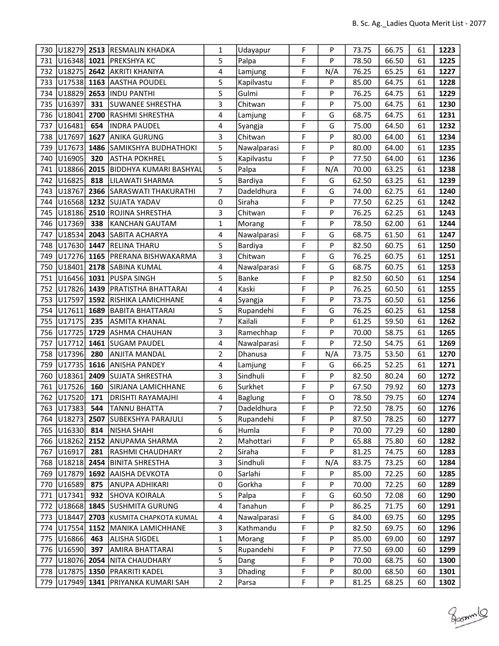| 730 | U18279        | 2513 | <b>RESMALIN KHADKA</b>     | 1            | Udayapur    | F | P   | 73.75 | 66.75 | 61 | 1223 |
|-----|---------------|------|----------------------------|--------------|-------------|---|-----|-------|-------|----|------|
| 731 | $U16348$ 1021 |      | <b>PREKSHYA KC</b>         | 5            | Palpa       | F | P   | 78.50 | 66.50 | 61 | 1225 |
| 732 | U18275        | 2642 | <b>AKRITI KHANIYA</b>      | 4            | Lamjung     | F | N/A | 76.25 | 65.25 | 61 | 1227 |
| 733 | U17538        | 1163 | <b>AASTHA POUDEL</b>       | 5            | Kapilvastu  | F | P   | 85.00 | 64.75 | 61 | 1228 |
| 734 | U18829        | 2653 | <b>INDU PANTHI</b>         | 5            | Gulmi       | F | P   | 76.25 | 64.75 | 61 | 1229 |
| 735 | U16397        | 331  | SUWANEE SHRESTHA           | 3            | Chitwan     | F | P   | 75.00 | 64.75 | 61 | 1230 |
| 736 | U18041        | 2700 | RASHMI SHRESTHA            | 4            | Lamjung     | F | G   | 68.75 | 64.75 | 61 | 1231 |
| 737 | U16481        | 654  | <b>INDRA PAUDEL</b>        | 4            | Syangja     | F | G   | 75.00 | 64.50 | 61 | 1232 |
| 738 | U17697        | 1627 | <b>ANIKA GURUNG</b>        | 3            | Chitwan     | F | P   | 80.00 | 64.00 | 61 | 1234 |
| 739 | U17673        | 1486 | SAMIKSHYA BUDHATHOKI       | 5            | Nawalparasi | F | P   | 80.00 | 64.00 | 61 | 1235 |
| 740 | U16905        | 320  | <b>ASTHA POKHREL</b>       | 5            | Kapilvastu  | F | P   | 77.50 | 64.00 | 61 | 1236 |
| 741 | U18866        | 2015 | BIDDHYA KUMARI BASHYAL     | 5            | Palpa       | F | N/A | 70.00 | 63.25 | 61 | 1238 |
| 742 | U16825        | 818  | LILAWATI SHARMA            | 5            | Bardiya     | F | G   | 62.50 | 63.25 | 61 | 1239 |
| 743 | U18767        | 2366 | SARASWATI THAKURATHI       | 7            | Dadeldhura  | F | G   | 74.00 | 62.75 | 61 | 1240 |
| 744 | U16568        | 1232 | <b>SUJATA YADAV</b>        | 0            | Siraha      | F | P   | 77.50 | 62.25 | 61 | 1242 |
| 745 | U18186        | 2510 | <b>ROJINA SHRESTHA</b>     | 3            | Chitwan     | F | P   | 76.25 | 62.25 | 61 | 1243 |
| 746 | U17369        | 338  | KANCHAN GAUTAM             | $\mathbf{1}$ | Morang      | F | P   | 78.50 | 62.00 | 61 | 1244 |
| 747 | U18534        | 2043 | SABITA ACHARYA             | 4            | Nawalparasi | F | G   | 68.75 | 61.50 | 61 | 1247 |
| 748 | U17630        | 1447 | <b>RELINA THARU</b>        | 5            | Bardiya     | F | P   | 82.50 | 60.75 | 61 | 1250 |
| 749 | U17276 1165   |      | PRERANA BISHWAKARMA        | 3            | Chitwan     | F | G   | 76.25 | 60.75 | 61 | 1251 |
| 750 | U18401        | 2178 | <b>SABINA KUMAL</b>        | 4            | Nawalparasi | F | G   | 68.75 | 60.75 | 61 | 1253 |
| 751 | U16456 1031   |      | <b>PUSPA SINGH</b>         | 5            | Banke       | F | P   | 82.50 | 60.50 | 61 | 1254 |
| 752 | U17826 1439   |      | <b>PRATISTHA BHATTARAI</b> | 4            | Kaski       | F | P   | 76.25 | 60.50 | 61 | 1255 |
| 753 | U17597        | 1592 | RISHIKA LAMICHHANE         | 4            | Syangja     | F | P   | 73.75 | 60.50 | 61 | 1256 |
| 754 | U17611        | 1689 | <b>BABITA BHATTARAI</b>    | 5            | Rupandehi   | F | G   | 76.25 | 60.25 | 61 | 1258 |
| 755 | U17175        | 235  | <b>ASMITA KHANAL</b>       | 7            | Kailali     | F | P   | 61.25 | 59.50 | 61 | 1262 |
| 756 | U17725        | 1729 | ASHMA CHAUHAN              | 3            | Ramechhap   | F | P   | 70.00 | 58.75 | 61 | 1265 |
| 757 | U17712        | 1461 | <b>SUGAM PAUDEL</b>        | 4            | Nawalparasi | F | P   | 72.50 | 54.75 | 61 | 1269 |
| 758 | U17396        | 280  | <b>ANJITA MANDAL</b>       | 2            | Dhanusa     | F | N/A | 73.75 | 53.50 | 61 | 1270 |
| 759 | U17735        | 1616 | <b>ANISHA PANDEY</b>       | 4            | Lamjung     | F | G   | 66.25 | 52.25 | 61 | 1271 |
| 760 | U18361        | 2409 | <b>SUJATA SHRESTHA</b>     | 3            | Sindhuli    | F | P   | 82.50 | 80.24 | 60 | 1272 |
| 761 | U17526        | 160  | SIRJANA LAMICHHANE         | 6            | Surkhet     | F | P   | 67.50 | 79.92 | 60 | 1273 |
| 762 | U17520        | 171  | <b>DRISHTI RAYAMAJHI</b>   | 4            | Baglung     | F | O   | 78.50 | 79.75 | 60 | 1274 |
|     | 763 U17383    | 544  | <b>TANNU BHATTA</b>        | 7            | Dadeldhura  | F | P   | 72.50 | 78.75 | 60 | 1276 |
|     | 764   U18273  |      | 2507 SUBEKSHYA PARAJULI    | 5            | Rupandehi   | F | P   | 87.50 | 78.25 | 60 | 1277 |
| 765 | U16330        | 814  | NISHA SHAHI                | 6            | Humla       | F | P   | 70.00 | 77.29 | 60 | 1280 |
| 766 | U18262        |      | 2152 ANUPAMA SHARMA        | 2            | Mahottari   | F | P   | 65.88 | 75.80 | 60 | 1282 |
| 767 | U16917        | 281  | <b>RASHMI CHAUDHARY</b>    | 2            | Siraha      | F | P   | 81.25 | 74.75 | 60 | 1283 |
| 768 | U18218        | 2454 | <b>BINITA SHRESTHA</b>     | 3            | Sindhuli    | F | N/A | 83.75 | 73.25 | 60 | 1284 |
| 769 | U17879        |      | 1692 AAISHA DEVKOTA        | $\pmb{0}$    | Sarlahi     | F | P   | 85.00 | 72.25 | 60 | 1285 |
| 770 | U16589        | 875  | ANUPA ADHIKARI             | $\pmb{0}$    | Gorkha      | F | P   | 70.00 | 72.25 | 60 | 1289 |
| 771 | U17341        | 932  | SHOVA KOIRALA              | 5            | Palpa       | F | G   | 60.50 | 72.08 | 60 | 1290 |
| 772 | U18668        |      | 1845 SUSHMITA GURUNG       | 4            | Tanahun     | F | P   | 86.25 | 71.75 | 60 | 1291 |
| 773 | U18447        | 2703 | KUSMITA CHAPKOTA KUMAL     | 4            | Nawalparasi | F | G   | 84.00 | 69.75 | 60 | 1295 |
| 774 | U17554        |      | 1152 MANIKA LAMICHHANE     | 3            | Kathmandu   | F | P   | 82.50 | 69.75 | 60 | 1296 |
| 775 | U16866        | 463  | ALISHA SIGDEL              | $\mathbf{1}$ | Morang      | F | P   | 85.00 | 69.00 | 60 | 1297 |
| 776 | U16590        | 397  | AMIRA BHATTARAI            | 5            | Rupandehi   | F | P   | 77.50 | 69.00 | 60 | 1299 |
| 777 | U18076 2054   |      | NITA CHAUDHARY             | 5            | Dang        | F | P   | 70.00 | 68.75 | 60 | 1300 |
| 778 | U17875 1350   |      | <b>PRAKRITI KADEL</b>      | 3            | Dhading     | F | P   | 80.00 | 68.50 | 60 | 1301 |
| 779 | U17949        |      | 1341   PRIYANKA KUMARI SAH | 2            | Parsa       | F | P   | 81.25 | 68.25 | 60 | 1302 |